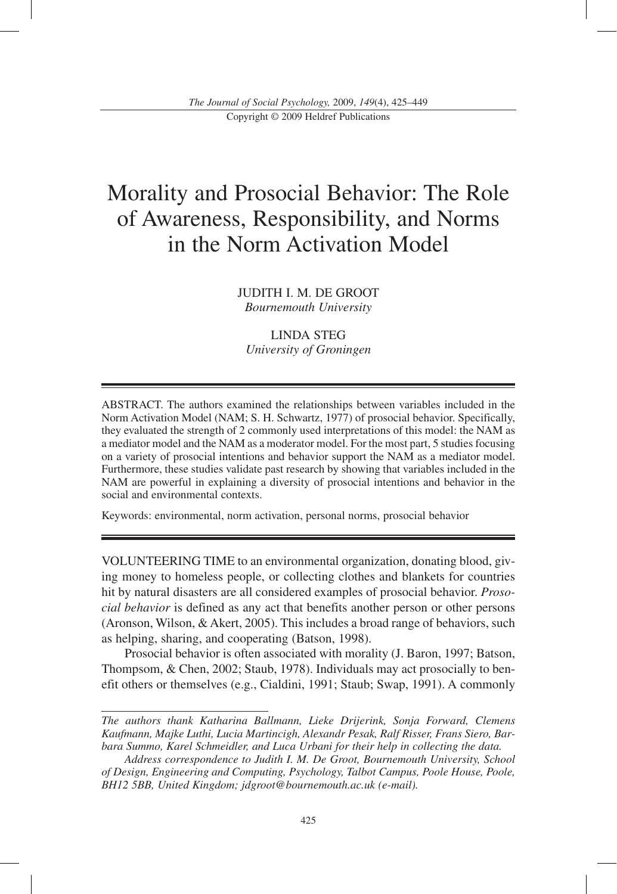# Morality and Prosocial Behavior: The Role of Awareness, Responsibility, and Norms in the Norm Activation Model

JUDITH I. M. DE GROOT *Bournemouth University*

LINDA STEG *University of Groningen*

ABSTRACT. The authors examined the relationships between variables included in the Norm Activation Model (NAM; S. H. Schwartz, 1977) of prosocial behavior. Specifically, they evaluated the strength of 2 commonly used interpretations of this model: the NAM as a mediator model and the NAM as a moderator model. For the most part, 5 studies focusing on a variety of prosocial intentions and behavior support the NAM as a mediator model. Furthermore, these studies validate past research by showing that variables included in the NAM are powerful in explaining a diversity of prosocial intentions and behavior in the social and environmental contexts.

Keywords: environmental, norm activation, personal norms, prosocial behavior

VOLUNTEERING TIME to an environmental organization, donating blood, giving money to homeless people, or collecting clothes and blankets for countries hit by natural disasters are all considered examples of prosocial behavior. *Prosocial behavior* is defined as any act that benefits another person or other persons (Aronson, Wilson, & Akert, 2005). This includes a broad range of behaviors, such as helping, sharing, and cooperating (Batson, 1998).

Prosocial behavior is often associated with morality (J. Baron, 1997; Batson, Thompsom, & Chen, 2002; Staub, 1978). Individuals may act prosocially to benefit others or themselves (e.g., Cialdini, 1991; Staub; Swap, 1991). A commonly

*The authors thank Katharina Ballmann, Lieke Drijerink, Sonja Forward, Clemens Kaufmann, Majke Luthi, Lucia Martincigh, Alexandr Pesak, Ralf Risser, Frans Siero, Barbara Summo, Karel Schmeidler, and Luca Urbani for their help in collecting the data.*

*Address correspondence to Judith I. M. De Groot, Bournemouth University, School of Design, Engineering and Computing, Psychology, Talbot Campus, Poole House, Poole, BH12 5BB, United Kingdom; jdgroot@bournemouth.ac.uk (e-mail).*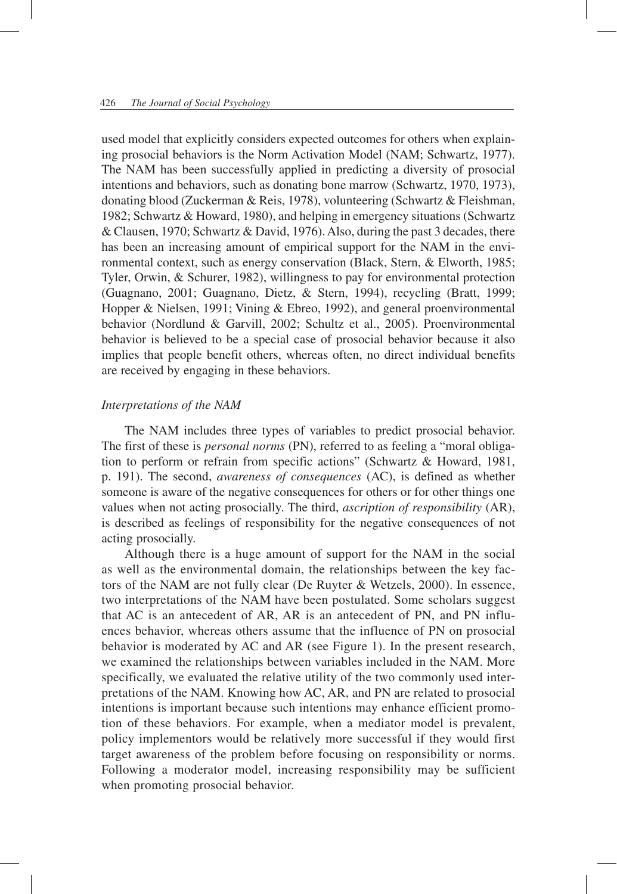used model that explicitly considers expected outcomes for others when explaining prosocial behaviors is the Norm Activation Model (NAM; Schwartz, 1977). The NAM has been successfully applied in predicting a diversity of prosocial intentions and behaviors, such as donating bone marrow (Schwartz, 1970, 1973), donating blood (Zuckerman & Reis, 1978), volunteering (Schwartz & Fleishman, 1982; Schwartz & Howard, 1980), and helping in emergency situations (Schwartz & Clausen, 1970; Schwartz & David, 1976). Also, during the past 3 decades, there has been an increasing amount of empirical support for the NAM in the environmental context, such as energy conservation (Black, Stern, & Elworth, 1985; Tyler, Orwin, & Schurer, 1982), willingness to pay for environmental protection (Guagnano, 2001; Guagnano, Dietz, & Stern, 1994), recycling (Bratt, 1999; Hopper & Nielsen, 1991; Vining & Ebreo, 1992), and general proenvironmental behavior (Nordlund & Garvill, 2002; Schultz et al., 2005). Proenvironmental behavior is believed to be a special case of prosocial behavior because it also implies that people benefit others, whereas often, no direct individual benefits are received by engaging in these behaviors.

## *Interpretations of the NAM*

The NAM includes three types of variables to predict prosocial behavior. The first of these is *personal norms* (PN), referred to as feeling a "moral obligation to perform or refrain from specific actions" (Schwartz & Howard, 1981, p. 191). The second, *awareness of consequences* (AC), is defined as whether someone is aware of the negative consequences for others or for other things one values when not acting prosocially. The third, *ascription of responsibility* (AR), is described as feelings of responsibility for the negative consequences of not acting prosocially.

Although there is a huge amount of support for the NAM in the social as well as the environmental domain, the relationships between the key factors of the NAM are not fully clear (De Ruyter & Wetzels, 2000). In essence, two interpretations of the NAM have been postulated. Some scholars suggest that AC is an antecedent of AR, AR is an antecedent of PN, and PN influences behavior, whereas others assume that the influence of PN on prosocial behavior is moderated by AC and AR (see Figure 1). In the present research, we examined the relationships between variables included in the NAM. More specifically, we evaluated the relative utility of the two commonly used interpretations of the NAM. Knowing how AC, AR, and PN are related to prosocial intentions is important because such intentions may enhance efficient promotion of these behaviors. For example, when a mediator model is prevalent, policy implementors would be relatively more successful if they would first target awareness of the problem before focusing on responsibility or norms. Following a moderator model, increasing responsibility may be sufficient when promoting prosocial behavior.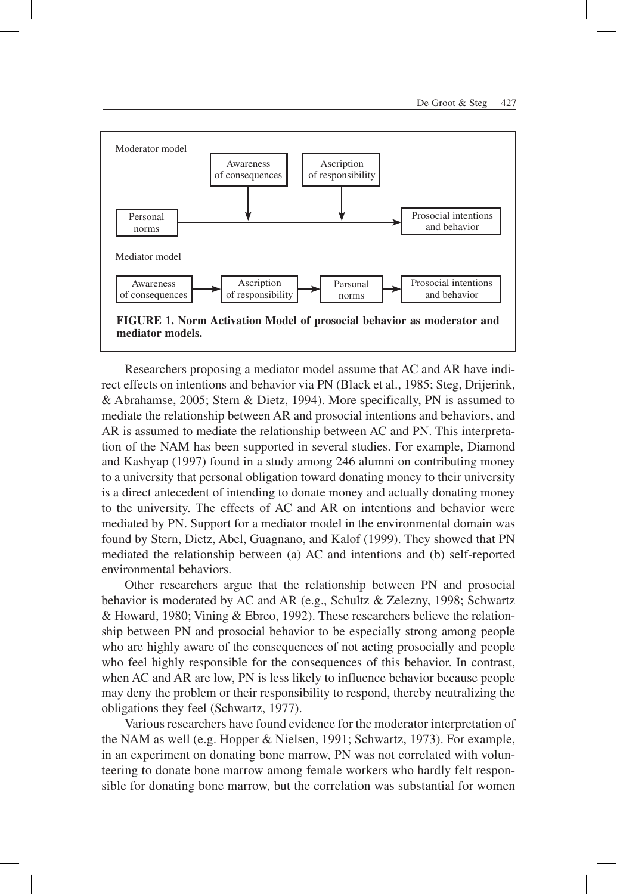

Researchers proposing a mediator model assume that AC and AR have indirect effects on intentions and behavior via PN (Black et al., 1985; Steg, Drijerink, & Abrahamse, 2005; Stern & Dietz, 1994). More specifically, PN is assumed to mediate the relationship between AR and prosocial intentions and behaviors, and AR is assumed to mediate the relationship between AC and PN. This interpretation of the NAM has been supported in several studies. For example, Diamond and Kashyap (1997) found in a study among 246 alumni on contributing money to a university that personal obligation toward donating money to their university is a direct antecedent of intending to donate money and actually donating money to the university. The effects of AC and AR on intentions and behavior were mediated by PN. Support for a mediator model in the environmental domain was found by Stern, Dietz, Abel, Guagnano, and Kalof (1999). They showed that PN mediated the relationship between (a) AC and intentions and (b) self-reported environmental behaviors.

Other researchers argue that the relationship between PN and prosocial behavior is moderated by AC and AR (e.g., Schultz & Zelezny, 1998; Schwartz & Howard, 1980; Vining & Ebreo, 1992). These researchers believe the relationship between PN and prosocial behavior to be especially strong among people who are highly aware of the consequences of not acting prosocially and people who feel highly responsible for the consequences of this behavior. In contrast, when AC and AR are low, PN is less likely to influence behavior because people may deny the problem or their responsibility to respond, thereby neutralizing the obligations they feel (Schwartz, 1977).

Various researchers have found evidence for the moderator interpretation of the NAM as well (e.g. Hopper & Nielsen, 1991; Schwartz, 1973). For example, in an experiment on donating bone marrow, PN was not correlated with volunteering to donate bone marrow among female workers who hardly felt responsible for donating bone marrow, but the correlation was substantial for women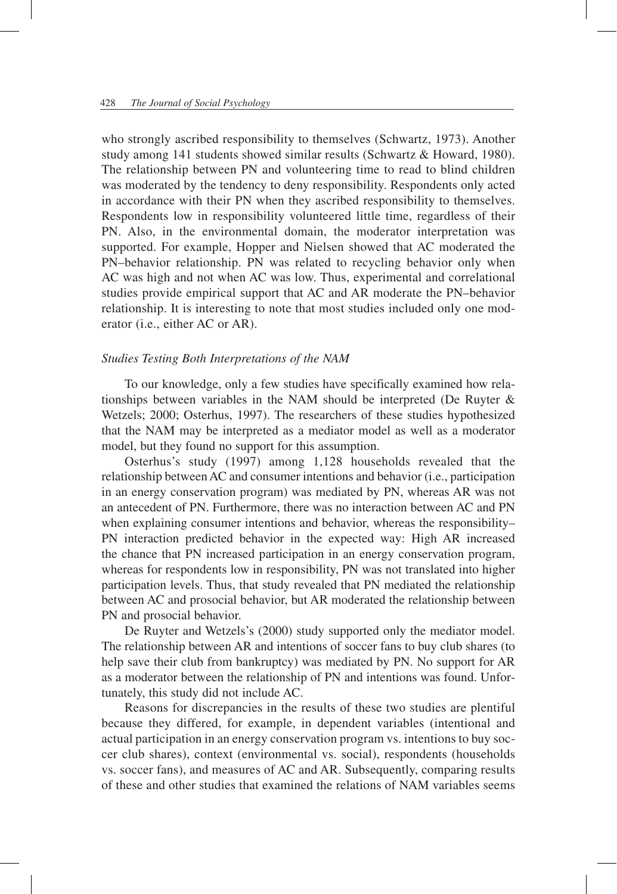who strongly ascribed responsibility to themselves (Schwartz, 1973). Another study among 141 students showed similar results (Schwartz & Howard, 1980). The relationship between PN and volunteering time to read to blind children was moderated by the tendency to deny responsibility. Respondents only acted in accordance with their PN when they ascribed responsibility to themselves. Respondents low in responsibility volunteered little time, regardless of their PN. Also, in the environmental domain, the moderator interpretation was supported. For example, Hopper and Nielsen showed that AC moderated the PN–behavior relationship. PN was related to recycling behavior only when AC was high and not when AC was low. Thus, experimental and correlational studies provide empirical support that AC and AR moderate the PN–behavior relationship. It is interesting to note that most studies included only one moderator (i.e., either AC or AR).

#### *Studies Testing Both Interpretations of the NAM*

To our knowledge, only a few studies have specifically examined how relationships between variables in the NAM should be interpreted (De Ruyter & Wetzels; 2000; Osterhus, 1997). The researchers of these studies hypothesized that the NAM may be interpreted as a mediator model as well as a moderator model, but they found no support for this assumption.

Osterhus's study (1997) among 1,128 households revealed that the relationship between AC and consumer intentions and behavior (i.e., participation in an energy conservation program) was mediated by PN, whereas AR was not an antecedent of PN. Furthermore, there was no interaction between AC and PN when explaining consumer intentions and behavior, whereas the responsibility– PN interaction predicted behavior in the expected way: High AR increased the chance that PN increased participation in an energy conservation program, whereas for respondents low in responsibility, PN was not translated into higher participation levels. Thus, that study revealed that PN mediated the relationship between AC and prosocial behavior, but AR moderated the relationship between PN and prosocial behavior.

De Ruyter and Wetzels's (2000) study supported only the mediator model. The relationship between AR and intentions of soccer fans to buy club shares (to help save their club from bankruptcy) was mediated by PN. No support for AR as a moderator between the relationship of PN and intentions was found. Unfortunately, this study did not include AC.

Reasons for discrepancies in the results of these two studies are plentiful because they differed, for example, in dependent variables (intentional and actual participation in an energy conservation program vs. intentions to buy soccer club shares), context (environmental vs. social), respondents (households vs. soccer fans), and measures of AC and AR. Subsequently, comparing results of these and other studies that examined the relations of NAM variables seems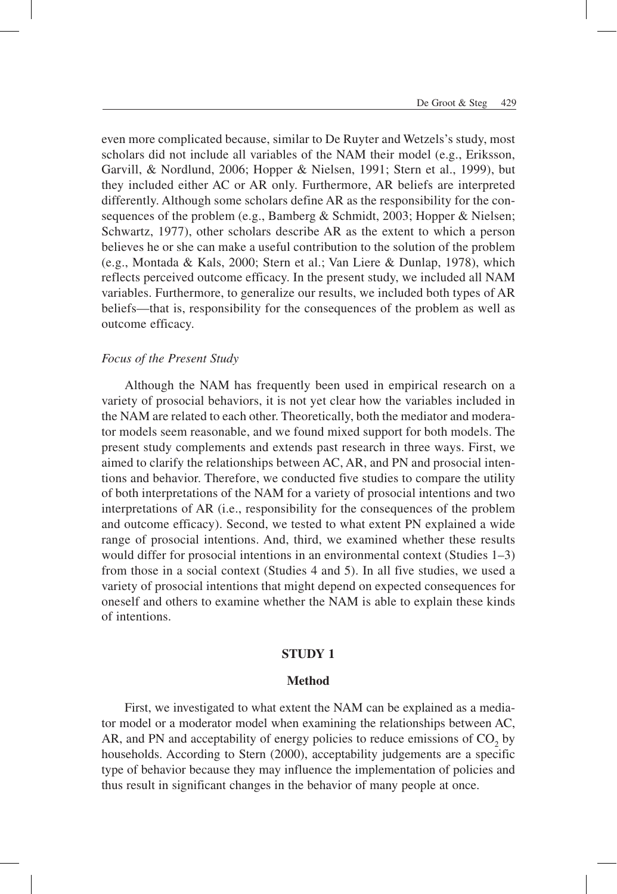even more complicated because, similar to De Ruyter and Wetzels's study, most scholars did not include all variables of the NAM their model (e.g., Eriksson, Garvill, & Nordlund, 2006; Hopper & Nielsen, 1991; Stern et al., 1999), but they included either AC or AR only. Furthermore, AR beliefs are interpreted differently. Although some scholars define AR as the responsibility for the consequences of the problem (e.g., Bamberg & Schmidt, 2003; Hopper & Nielsen; Schwartz, 1977), other scholars describe AR as the extent to which a person believes he or she can make a useful contribution to the solution of the problem (e.g., Montada & Kals, 2000; Stern et al.; Van Liere & Dunlap, 1978), which reflects perceived outcome efficacy. In the present study, we included all NAM variables. Furthermore, to generalize our results, we included both types of AR beliefs—that is, responsibility for the consequences of the problem as well as outcome efficacy.

## *Focus of the Present Study*

Although the NAM has frequently been used in empirical research on a variety of prosocial behaviors, it is not yet clear how the variables included in the NAM are related to each other. Theoretically, both the mediator and moderator models seem reasonable, and we found mixed support for both models. The present study complements and extends past research in three ways. First, we aimed to clarify the relationships between AC, AR, and PN and prosocial intentions and behavior. Therefore, we conducted five studies to compare the utility of both interpretations of the NAM for a variety of prosocial intentions and two interpretations of AR (i.e., responsibility for the consequences of the problem and outcome efficacy). Second, we tested to what extent PN explained a wide range of prosocial intentions. And, third, we examined whether these results would differ for prosocial intentions in an environmental context (Studies 1–3) from those in a social context (Studies 4 and 5). In all five studies, we used a variety of prosocial intentions that might depend on expected consequences for oneself and others to examine whether the NAM is able to explain these kinds of intentions.

# **STUDY 1**

## **Method**

First, we investigated to what extent the NAM can be explained as a mediator model or a moderator model when examining the relationships between AC, AR, and PN and acceptability of energy policies to reduce emissions of  $CO_2$  by households. According to Stern (2000), acceptability judgements are a specific type of behavior because they may influence the implementation of policies and thus result in significant changes in the behavior of many people at once.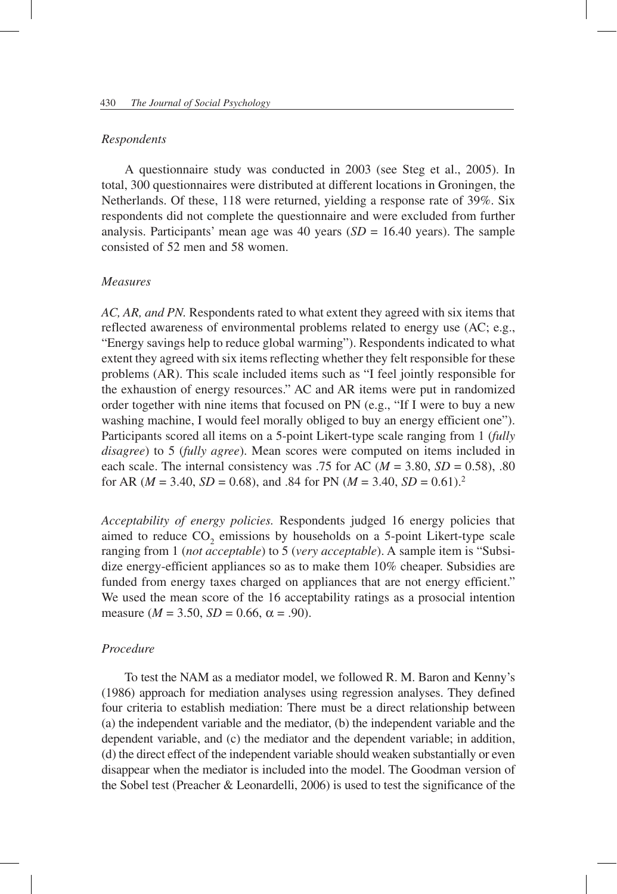## *Respondents*

A questionnaire study was conducted in 2003 (see Steg et al., 2005). In total, 300 questionnaires were distributed at different locations in Groningen, the Netherlands. Of these, 118 were returned, yielding a response rate of 39%. Six respondents did not complete the questionnaire and were excluded from further analysis. Participants' mean age was  $40$  years (*SD* = 16.40 years). The sample consisted of 52 men and 58 women.

## *Measures*

*AC, AR, and PN.* Respondents rated to what extent they agreed with six items that reflected awareness of environmental problems related to energy use (AC; e.g., "Energy savings help to reduce global warming"). Respondents indicated to what extent they agreed with six items reflecting whether they felt responsible for these problems (AR). This scale included items such as "I feel jointly responsible for the exhaustion of energy resources." AC and AR items were put in randomized order together with nine items that focused on PN (e.g., "If I were to buy a new washing machine, I would feel morally obliged to buy an energy efficient one"). Participants scored all items on a 5-point Likert-type scale ranging from 1 (*fully disagree*) to 5 (*fully agree*). Mean scores were computed on items included in each scale. The internal consistency was .75 for AC ( $M = 3.80$ ,  $SD = 0.58$ ), .80 for AR ( $M = 3.40$ ,  $SD = 0.68$ ), and .84 for PN ( $M = 3.40$ ,  $SD = 0.61$ ).<sup>2</sup>

*Acceptability of energy policies.* Respondents judged 16 energy policies that aimed to reduce  $CO_2$  emissions by households on a 5-point Likert-type scale ranging from 1 (*not acceptable*) to 5 (*very acceptable*). A sample item is "Subsidize energy-efficient appliances so as to make them 10% cheaper. Subsidies are funded from energy taxes charged on appliances that are not energy efficient." We used the mean score of the 16 acceptability ratings as a prosocial intention measure ( $M = 3.50$ ,  $SD = 0.66$ ,  $\alpha = .90$ ).

## *Procedure*

To test the NAM as a mediator model, we followed R. M. Baron and Kenny's (1986) approach for mediation analyses using regression analyses. They defined four criteria to establish mediation: There must be a direct relationship between (a) the independent variable and the mediator, (b) the independent variable and the dependent variable, and (c) the mediator and the dependent variable; in addition, (d) the direct effect of the independent variable should weaken substantially or even disappear when the mediator is included into the model. The Goodman version of the Sobel test (Preacher & Leonardelli, 2006) is used to test the significance of the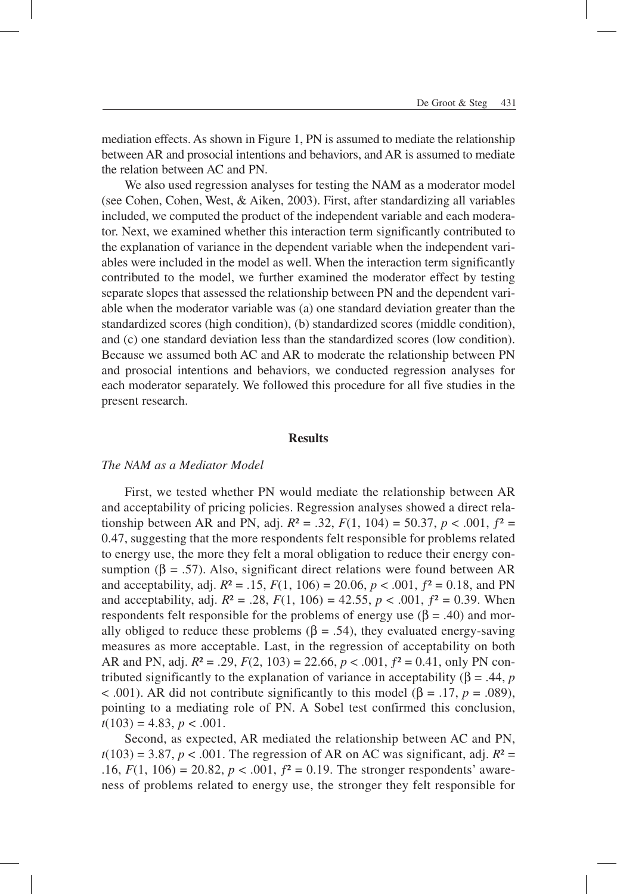mediation effects. As shown in Figure 1, PN is assumed to mediate the relationship between AR and prosocial intentions and behaviors, and AR is assumed to mediate the relation between AC and PN.

We also used regression analyses for testing the NAM as a moderator model (see Cohen, Cohen, West, & Aiken, 2003). First, after standardizing all variables included, we computed the product of the independent variable and each moderator. Next, we examined whether this interaction term significantly contributed to the explanation of variance in the dependent variable when the independent variables were included in the model as well. When the interaction term significantly contributed to the model, we further examined the moderator effect by testing separate slopes that assessed the relationship between PN and the dependent variable when the moderator variable was (a) one standard deviation greater than the standardized scores (high condition), (b) standardized scores (middle condition), and (c) one standard deviation less than the standardized scores (low condition). Because we assumed both AC and AR to moderate the relationship between PN and prosocial intentions and behaviors, we conducted regression analyses for each moderator separately. We followed this procedure for all five studies in the present research.

#### **Results**

# *The NAM as a Mediator Model*

First, we tested whether PN would mediate the relationship between AR and acceptability of pricing policies. Regression analyses showed a direct relationship between AR and PN, adj.  $R^2 = .32$ ,  $F(1, 104) = 50.37$ ,  $p < .001$ ,  $f^2 =$ 0.47, suggesting that the more respondents felt responsible for problems related to energy use, the more they felt a moral obligation to reduce their energy consumption ( $\beta = .57$ ). Also, significant direct relations were found between AR and acceptability, adj.  $R^2 = .15$ ,  $F(1, 106) = 20.06$ ,  $p < .001$ ,  $f^2 = 0.18$ , and PN and acceptability, adj.  $R^2 = .28$ ,  $F(1, 106) = 42.55$ ,  $p < .001$ ,  $f^2 = 0.39$ . When respondents felt responsible for the problems of energy use  $(\beta = .40)$  and morally obliged to reduce these problems ( $\beta = .54$ ), they evaluated energy-saving measures as more acceptable. Last, in the regression of acceptability on both AR and PN, adj.  $R^2 = .29$ ,  $F(2, 103) = 22.66$ ,  $p < .001$ ,  $f^2 = 0.41$ , only PN contributed significantly to the explanation of variance in acceptability (β = .44, *p* < .001). AR did not contribute significantly to this model (β = .17,  $p = .089$ ), pointing to a mediating role of PN. A Sobel test confirmed this conclusion,  $t(103) = 4.83, p < .001.$ 

Second, as expected, AR mediated the relationship between AC and PN,  $t(103) = 3.87$ ,  $p < .001$ . The regression of AR on AC was significant, adj.  $R^2 =$ .16,  $F(1, 106) = 20.82$ ,  $p < .001$ ,  $f^2 = 0.19$ . The stronger respondents' awareness of problems related to energy use, the stronger they felt responsible for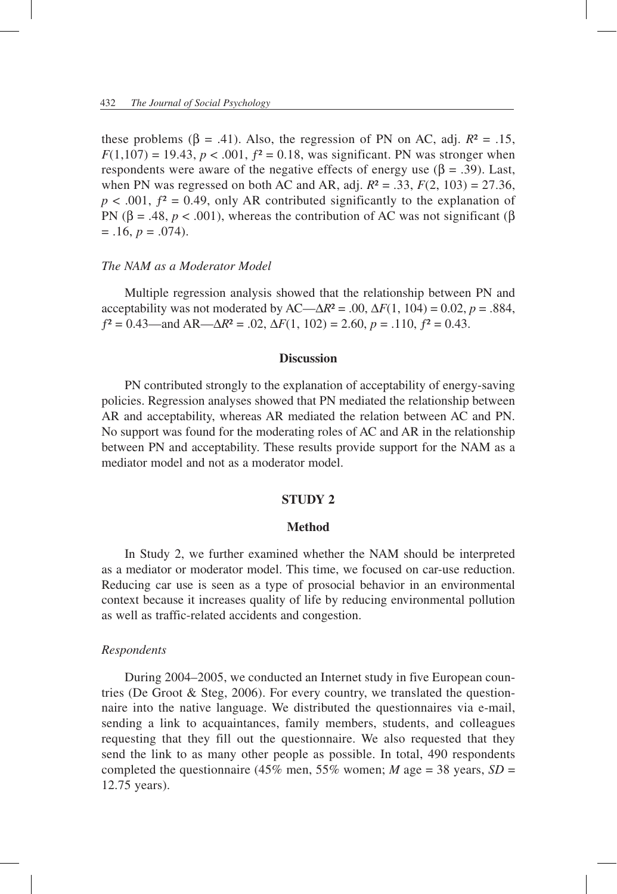these problems ( $\beta$  = .41). Also, the regression of PN on AC, adj.  $R^2$  = .15,  $F(1,107) = 19.43, p < .001, f<sup>2</sup> = 0.18$ , was significant. PN was stronger when respondents were aware of the negative effects of energy use  $(\beta = .39)$ . Last, when PN was regressed on both AC and AR, adj.  $R^2 = .33, F(2, 103) = 27.36$ ,  $p < .001$ ,  $f^2 = 0.49$ , only AR contributed significantly to the explanation of PN ( $\beta$  = .48, *p* < .001), whereas the contribution of AC was not significant ( $\beta$  $= .16, p = .074$ .

#### *The NAM as a Moderator Model*

Multiple regression analysis showed that the relationship between PN and acceptability was not moderated by AC— $\Delta R^2$  = .00,  $\Delta F(1, 104)$  = 0.02, *p* = .884,  $f^2 = 0.43$ —and AR— $\Delta R^2 = .02$ ,  $\Delta F(1, 102) = 2.60$ ,  $p = .110$ ,  $f^2 = 0.43$ .

## **Discussion**

PN contributed strongly to the explanation of acceptability of energy-saving policies. Regression analyses showed that PN mediated the relationship between AR and acceptability, whereas AR mediated the relation between AC and PN. No support was found for the moderating roles of AC and AR in the relationship between PN and acceptability. These results provide support for the NAM as a mediator model and not as a moderator model.

## **STUDY 2**

#### **Method**

In Study 2, we further examined whether the NAM should be interpreted as a mediator or moderator model. This time, we focused on car-use reduction. Reducing car use is seen as a type of prosocial behavior in an environmental context because it increases quality of life by reducing environmental pollution as well as traffic-related accidents and congestion.

#### *Respondents*

During 2004–2005, we conducted an Internet study in five European countries (De Groot & Steg, 2006). For every country, we translated the questionnaire into the native language. We distributed the questionnaires via e-mail, sending a link to acquaintances, family members, students, and colleagues requesting that they fill out the questionnaire. We also requested that they send the link to as many other people as possible. In total, 490 respondents completed the questionnaire (45% men, 55% women; *M* age = 38 years,  $SD =$ 12.75 years).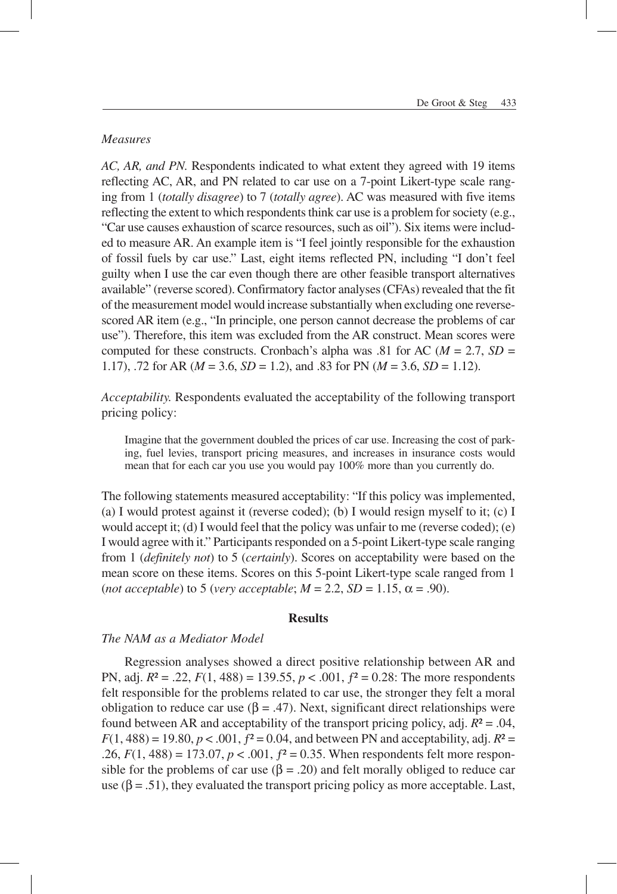# *Measures*

*AC, AR, and PN.* Respondents indicated to what extent they agreed with 19 items reflecting AC, AR, and PN related to car use on a 7-point Likert-type scale ranging from 1 (*totally disagree*) to 7 (*totally agree*). AC was measured with five items reflecting the extent to which respondents think car use is a problem for society (e.g., "Car use causes exhaustion of scarce resources, such as oil"). Six items were included to measure AR. An example item is "I feel jointly responsible for the exhaustion of fossil fuels by car use." Last, eight items reflected PN, including "I don't feel guilty when I use the car even though there are other feasible transport alternatives available" (reverse scored). Confirmatory factor analyses (CFAs) revealed that the fit of the measurement model would increase substantially when excluding one reversescored AR item (e.g., "In principle, one person cannot decrease the problems of car use"). Therefore, this item was excluded from the AR construct. Mean scores were computed for these constructs. Cronbach's alpha was .81 for AC ( $M = 2.7$ ,  $SD =$ 1.17), .72 for AR (*M* = 3.6, *SD* = 1.2), and .83 for PN (*M* = 3.6, *SD* = 1.12).

*Acceptability.* Respondents evaluated the acceptability of the following transport pricing policy:

Imagine that the government doubled the prices of car use. Increasing the cost of parking, fuel levies, transport pricing measures, and increases in insurance costs would mean that for each car you use you would pay 100% more than you currently do.

The following statements measured acceptability: "If this policy was implemented, (a) I would protest against it (reverse coded); (b) I would resign myself to it; (c) I would accept it; (d) I would feel that the policy was unfair to me (reverse coded); (e) I would agree with it." Participants responded on a 5-point Likert-type scale ranging from 1 (*definitely not*) to 5 (*certainly*). Scores on acceptability were based on the mean score on these items. Scores on this 5-point Likert-type scale ranged from 1 (*not acceptable*) to 5 (*very acceptable*;  $M = 2.2$ ,  $SD = 1.15$ ,  $\alpha = .90$ ).

# **Results**

# *The NAM as a Mediator Model*

Regression analyses showed a direct positive relationship between AR and PN, adj.  $R^2 = .22$ ,  $F(1, 488) = 139.55$ ,  $p < .001$ ,  $f^2 = 0.28$ . The more respondents felt responsible for the problems related to car use, the stronger they felt a moral obligation to reduce car use  $(\beta = .47)$ . Next, significant direct relationships were found between AR and acceptability of the transport pricing policy, adj.  $R^2 = .04$ ,  $F(1, 488) = 19.80, p < .001, f^2 = 0.04$ , and between PN and acceptability, adj.  $R^2 =$ .26,  $F(1, 488) = 173.07$ ,  $p < .001$ ,  $f^2 = 0.35$ . When respondents felt more responsible for the problems of car use  $(\beta = .20)$  and felt morally obliged to reduce car use ( $\beta$  = .51), they evaluated the transport pricing policy as more acceptable. Last,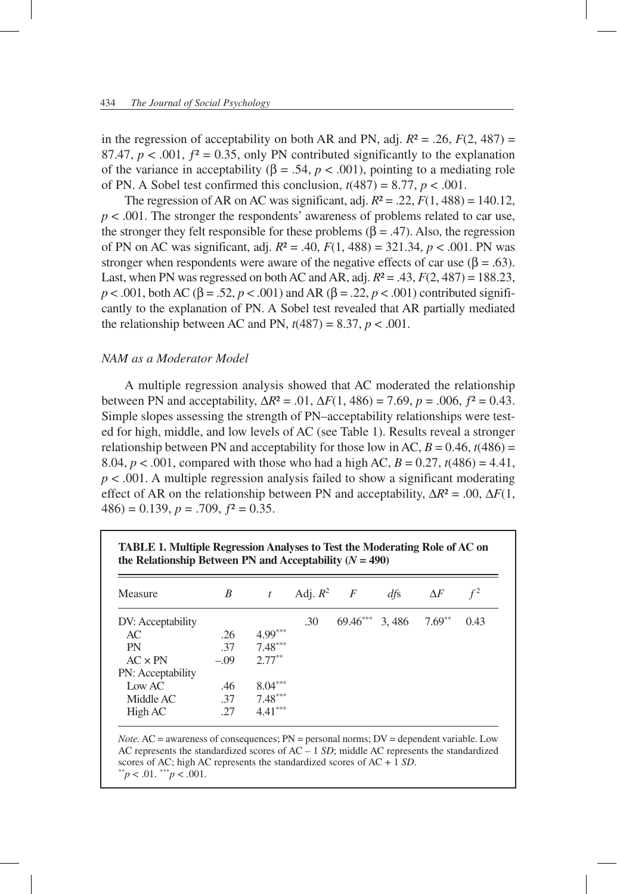in the regression of acceptability on both AR and PN, adj.  $R^2 = .26$ ,  $F(2, 487) =$ 87.47,  $p < .001$ ,  $f^2 = 0.35$ , only PN contributed significantly to the explanation of the variance in acceptability ( $β = .54, p < .001$ ), pointing to a mediating role of PN. A Sobel test confirmed this conclusion,  $t(487) = 8.77$ ,  $p < .001$ .

The regression of AR on AC was significant, adj.  $R^2 = .22$ ,  $F(1, 488) = 140.12$ , *p* < .001. The stronger the respondents' awareness of problems related to car use, the stronger they felt responsible for these problems ( $\beta$  = .47). Also, the regression of PN on AC was significant, adj. *R*² = .40, *F*(1, 488) = 321.34, *p* < .001. PN was stronger when respondents were aware of the negative effects of car use ( $\beta = .63$ ). Last, when PN was regressed on both AC and AR, adj.  $R<sup>2</sup> = .43, F(2, 487) = 188.23$ , *p* < .001, both AC (β = .52, *p* < .001) and AR (β = .22, *p* < .001) contributed significantly to the explanation of PN. A Sobel test revealed that AR partially mediated the relationship between AC and PN,  $t(487) = 8.37$ ,  $p < .001$ .

## *NAM as a Moderator Model*

A multiple regression analysis showed that AC moderated the relationship between PN and acceptability,  $\Delta R^2 = .01$ ,  $\Delta F(1, 486) = 7.69$ ,  $p = .006$ ,  $f^2 = 0.43$ . Simple slopes assessing the strength of PN–acceptability relationships were tested for high, middle, and low levels of AC (see Table 1). Results reveal a stronger relationship between PN and acceptability for those low in AC,  $B = 0.46$ ,  $t(486) =$ 8.04,  $p < .001$ , compared with those who had a high AC,  $B = 0.27$ ,  $t(486) = 4.41$ , *p* < .001. A multiple regression analysis failed to show a significant moderating effect of AR on the relationship between PN and acceptability,  $\Delta R^2 = .00$ ,  $\Delta F(1)$ ,  $(486) = 0.139, p = .709, f^2 = 0.35.$ 

| Measure           | B      | t         | Adj. $R^2$ F |                                      | dfs | $\Delta F$ | $f^2$ |
|-------------------|--------|-----------|--------------|--------------------------------------|-----|------------|-------|
| DV: Acceptability |        |           | .30          | $69.46***$ 3, 486 7.69 <sup>**</sup> |     |            | 0.43  |
| AC.               | .26    | $4.99***$ |              |                                      |     |            |       |
| <b>PN</b>         | .37    | $7.48***$ |              |                                      |     |            |       |
| $AC \times PN$    | $-.09$ | $2.77***$ |              |                                      |     |            |       |
| PN: Acceptability |        |           |              |                                      |     |            |       |
| Low AC            | .46    | $8.04***$ |              |                                      |     |            |       |
| Middle AC         | .37    | $7.48***$ |              |                                      |     |            |       |
| High AC           | .27    | $4.41***$ |              |                                      |     |            |       |

*Note.* AC = awareness of consequences; PN = personal norms; DV = dependent variable. Low AC represents the standardized scores of AC – 1 *SD*; middle AC represents the standardized scores of AC; high AC represents the standardized scores of AC + 1 *SD*.  $*^{*}p$  < .01. \*\*\**p* < .001.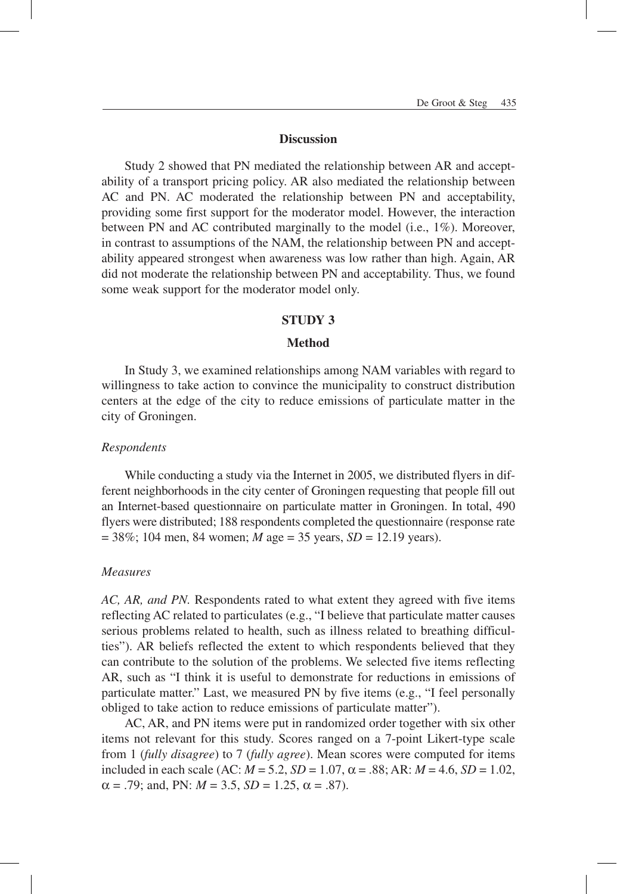# **Discussion**

Study 2 showed that PN mediated the relationship between AR and acceptability of a transport pricing policy. AR also mediated the relationship between AC and PN. AC moderated the relationship between PN and acceptability, providing some first support for the moderator model. However, the interaction between PN and AC contributed marginally to the model (i.e., 1%). Moreover, in contrast to assumptions of the NAM, the relationship between PN and acceptability appeared strongest when awareness was low rather than high. Again, AR did not moderate the relationship between PN and acceptability. Thus, we found some weak support for the moderator model only.

## **STUDY 3**

# **Method**

In Study 3, we examined relationships among NAM variables with regard to willingness to take action to convince the municipality to construct distribution centers at the edge of the city to reduce emissions of particulate matter in the city of Groningen.

## *Respondents*

While conducting a study via the Internet in 2005, we distributed flyers in different neighborhoods in the city center of Groningen requesting that people fill out an Internet-based questionnaire on particulate matter in Groningen. In total, 490 flyers were distributed; 188 respondents completed the questionnaire (response rate  $= 38\%$ ; 104 men, 84 women; *M* age  $= 35$  years, *SD*  $= 12.19$  years).

#### *Measures*

*AC, AR, and PN.* Respondents rated to what extent they agreed with five items reflecting AC related to particulates (e.g., "I believe that particulate matter causes serious problems related to health, such as illness related to breathing difficulties"). AR beliefs reflected the extent to which respondents believed that they can contribute to the solution of the problems. We selected five items reflecting AR, such as "I think it is useful to demonstrate for reductions in emissions of particulate matter." Last, we measured PN by five items (e.g., "I feel personally obliged to take action to reduce emissions of particulate matter").

AC, AR, and PN items were put in randomized order together with six other items not relevant for this study. Scores ranged on a 7-point Likert-type scale from 1 (*fully disagree*) to 7 (*fully agree*). Mean scores were computed for items included in each scale (AC: *M* = 5.2, *SD* = 1.07, α = .88; AR: *M* = 4.6, *SD* = 1.02,  $\alpha$  = .79; and, PN:  $M = 3.5$ ,  $SD = 1.25$ ,  $\alpha = .87$ ).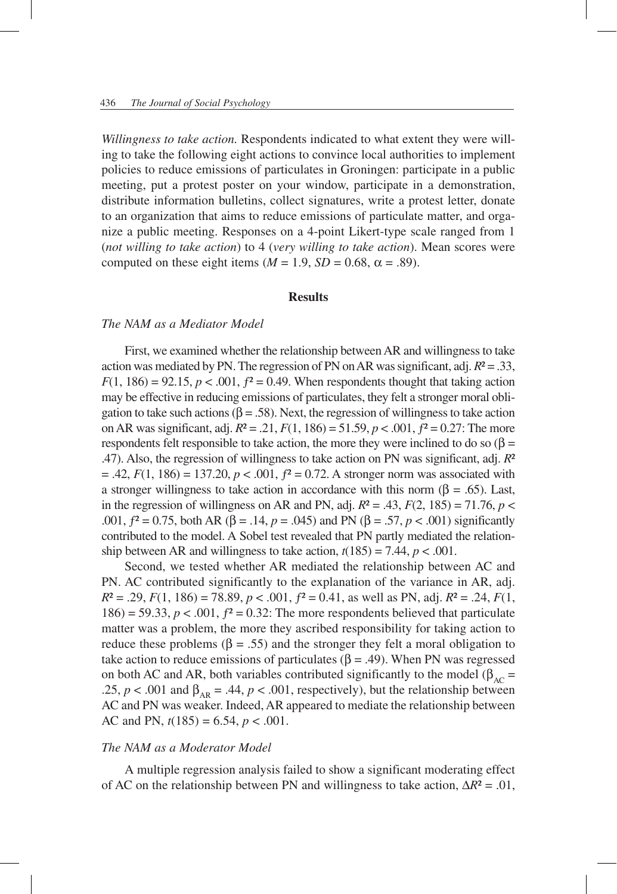*Willingness to take action.* Respondents indicated to what extent they were willing to take the following eight actions to convince local authorities to implement policies to reduce emissions of particulates in Groningen: participate in a public meeting, put a protest poster on your window, participate in a demonstration, distribute information bulletins, collect signatures, write a protest letter, donate to an organization that aims to reduce emissions of particulate matter, and organize a public meeting. Responses on a 4-point Likert-type scale ranged from 1 (*not willing to take action*) to 4 (*very willing to take action*). Mean scores were computed on these eight items ( $M = 1.9$ ,  $SD = 0.68$ ,  $\alpha = .89$ ).

## **Results**

#### *The NAM as a Mediator Model*

First, we examined whether the relationship between AR and willingness to take action was mediated by PN. The regression of PN on AR was significant, adj. *R*² = .33,  $F(1, 186) = 92.15$ ,  $p < .001$ ,  $f^2 = 0.49$ . When respondents thought that taking action may be effective in reducing emissions of particulates, they felt a stronger moral obligation to take such actions ( $\beta = .58$ ). Next, the regression of willingness to take action on AR was significant, adj.  $R^2 = .21$ ,  $F(1, 186) = 51.59$ ,  $p < .001$ ,  $f^2 = 0.27$ . The more respondents felt responsible to take action, the more they were inclined to do so  $(\beta =$ .47). Also, the regression of willingness to take action on PN was significant, adj. *R*²  $= .42, F(1, 186) = 137.20, p < .001, f<sup>2</sup> = 0.72$ . A stronger norm was associated with a stronger willingness to take action in accordance with this norm (β = .65). Last, in the regression of willingness on AR and PN, adj.  $R<sup>2</sup> = .43, F(2, 185) = 71.76, p <$ .001,  $f^2 = 0.75$ , both AR (β = .14, *p* = .045) and PN (β = .57, *p* < .001) significantly contributed to the model. A Sobel test revealed that PN partly mediated the relationship between AR and willingness to take action,  $t(185) = 7.44$ ,  $p < .001$ .

Second, we tested whether AR mediated the relationship between AC and PN. AC contributed significantly to the explanation of the variance in AR, adj.  $R^2 = .29, F(1, 186) = 78.89, p < .001, f^2 = 0.41$ , as well as PN, adj.  $R^2 = .24, F(1,$  $186$ ) = 59.33,  $p < .001$ ,  $f^2 = 0.32$ : The more respondents believed that particulate matter was a problem, the more they ascribed responsibility for taking action to reduce these problems ( $\beta = .55$ ) and the stronger they felt a moral obligation to take action to reduce emissions of particulates ( $\beta$  = .49). When PN was regressed on both AC and AR, both variables contributed significantly to the model ( $\beta_{AC}$  = .25,  $p < .001$  and  $\beta_{AR} = .44$ ,  $p < .001$ , respectively), but the relationship between AC and PN was weaker. Indeed, AR appeared to mediate the relationship between AC and PN, *t*(185) = 6.54, *p* < .001.

# *The NAM as a Moderator Model*

A multiple regression analysis failed to show a significant moderating effect of AC on the relationship between PN and willingness to take action, ∆*R*² = .01,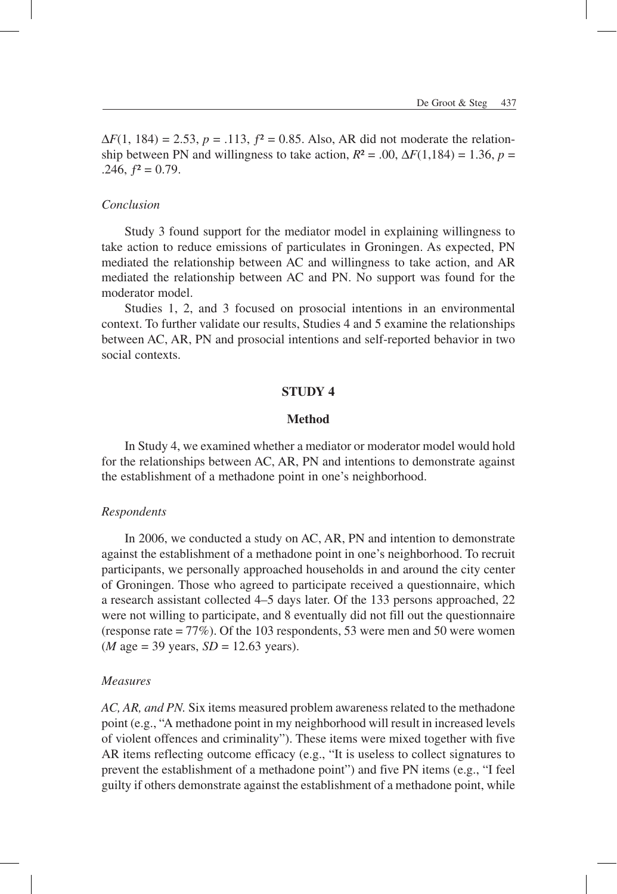$\Delta F(1, 184) = 2.53, p = .113, f^2 = 0.85$ . Also, AR did not moderate the relationship between PN and willingness to take action,  $R^2 = .00$ ,  $\Delta F(1,184) = 1.36$ ,  $p =$  $.246, f^2 = 0.79.$ 

## *Conclusion*

Study 3 found support for the mediator model in explaining willingness to take action to reduce emissions of particulates in Groningen. As expected, PN mediated the relationship between AC and willingness to take action, and AR mediated the relationship between AC and PN. No support was found for the moderator model.

Studies 1, 2, and 3 focused on prosocial intentions in an environmental context. To further validate our results, Studies 4 and 5 examine the relationships between AC, AR, PN and prosocial intentions and self-reported behavior in two social contexts.

## **STUDY 4**

# **Method**

In Study 4, we examined whether a mediator or moderator model would hold for the relationships between AC, AR, PN and intentions to demonstrate against the establishment of a methadone point in one's neighborhood.

#### *Respondents*

In 2006, we conducted a study on AC, AR, PN and intention to demonstrate against the establishment of a methadone point in one's neighborhood. To recruit participants, we personally approached households in and around the city center of Groningen. Those who agreed to participate received a questionnaire, which a research assistant collected 4–5 days later. Of the 133 persons approached, 22 were not willing to participate, and 8 eventually did not fill out the questionnaire (response rate = 77%). Of the 103 respondents, 53 were men and 50 were women  $(M \text{ age} = 39 \text{ years}, SD = 12.63 \text{ years}).$ 

#### *Measures*

*AC, AR, and PN.* Six items measured problem awareness related to the methadone point (e.g., "A methadone point in my neighborhood will result in increased levels of violent offences and criminality"). These items were mixed together with five AR items reflecting outcome efficacy (e.g., "It is useless to collect signatures to prevent the establishment of a methadone point") and five PN items (e.g., "I feel guilty if others demonstrate against the establishment of a methadone point, while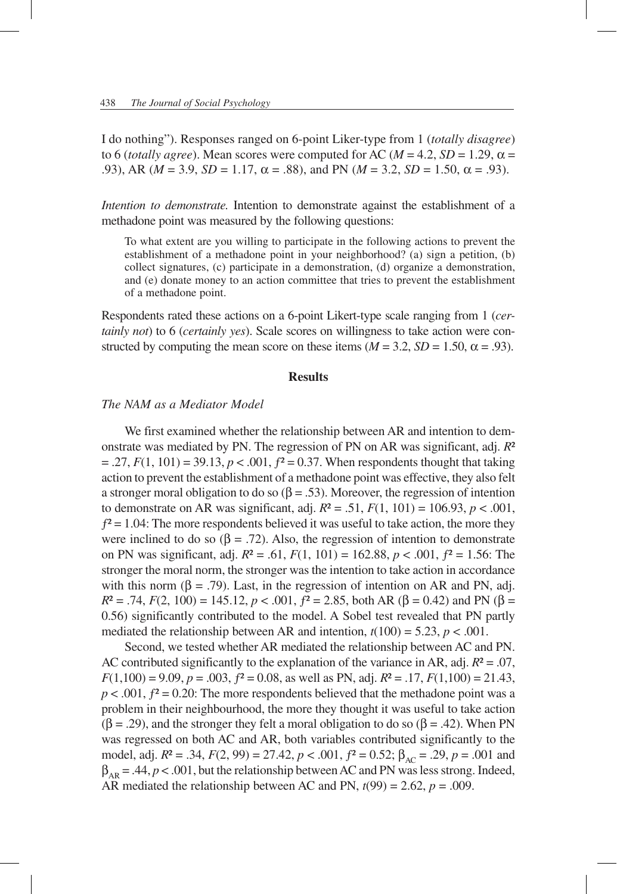I do nothing"). Responses ranged on 6-point Liker-type from 1 (*totally disagree*) to 6 (*totally agree*). Mean scores were computed for AC ( $M = 4.2$ ,  $SD = 1.29$ ,  $\alpha =$ .93), AR ( $M = 3.9$ ,  $SD = 1.17$ ,  $\alpha = .88$ ), and PN ( $M = 3.2$ ,  $SD = 1.50$ ,  $\alpha = .93$ ).

*Intention to demonstrate.* Intention to demonstrate against the establishment of a methadone point was measured by the following questions:

To what extent are you willing to participate in the following actions to prevent the establishment of a methadone point in your neighborhood? (a) sign a petition, (b) collect signatures, (c) participate in a demonstration, (d) organize a demonstration, and (e) donate money to an action committee that tries to prevent the establishment of a methadone point.

Respondents rated these actions on a 6-point Likert-type scale ranging from 1 (*certainly not*) to 6 (*certainly yes*). Scale scores on willingness to take action were constructed by computing the mean score on these items  $(M = 3.2, SD = 1.50, \alpha = .93)$ .

#### **Results**

#### *The NAM as a Mediator Model*

We first examined whether the relationship between AR and intention to demonstrate was mediated by PN. The regression of PN on AR was significant, adj. *R*²  $= .27, F(1, 101) = 39.13, p < .001, f^2 = 0.37$ . When respondents thought that taking action to prevent the establishment of a methadone point was effective, they also felt a stronger moral obligation to do so  $(\beta = .53)$ . Moreover, the regression of intention to demonstrate on AR was significant, adj.  $R^2 = .51$ ,  $F(1, 101) = 106.93$ ,  $p < .001$ ,  $f^2 = 1.04$ : The more respondents believed it was useful to take action, the more they were inclined to do so ( $\beta$  = .72). Also, the regression of intention to demonstrate on PN was significant, adj. *R*² = .61, *F*(1, 101) = 162.88, *p* < .001, ƒ² = 1.56: The stronger the moral norm, the stronger was the intention to take action in accordance with this norm ( $\beta$  = .79). Last, in the regression of intention on AR and PN, adj. *R*<sup>2</sup> = .74, *F*(2, 100) = 145.12, *p* < .001,  $f^2$  = 2.85, both AR (β = 0.42) and PN (β = 0.56) significantly contributed to the model. A Sobel test revealed that PN partly mediated the relationship between AR and intention,  $t(100) = 5.23$ ,  $p < .001$ .

Second, we tested whether AR mediated the relationship between AC and PN. AC contributed significantly to the explanation of the variance in AR, adj.  $R^2 = .07$ ,  $F(1,100) = 9.09$ ,  $p = .003$ ,  $f^2 = 0.08$ , as well as PN, adj.  $R^2 = .17$ ,  $F(1,100) = 21.43$ ,  $p < .001$ ,  $f^2 = 0.20$ : The more respondents believed that the methadone point was a problem in their neighbourhood, the more they thought it was useful to take action  $(\beta = .29)$ , and the stronger they felt a moral obligation to do so  $(\beta = .42)$ . When PN was regressed on both AC and AR, both variables contributed significantly to the model, adj.  $R^2 = .34$ ,  $F(2, 99) = 27.42$ ,  $p < .001$ ,  $f^2 = 0.52$ ;  $\beta_{AC} = .29$ ,  $p = .001$  and  $\beta_{\text{AP}} = .44$ ,  $p < .001$ , but the relationship between AC and PN was less strong. Indeed, AR mediated the relationship between AC and PN,  $t(99) = 2.62$ ,  $p = .009$ .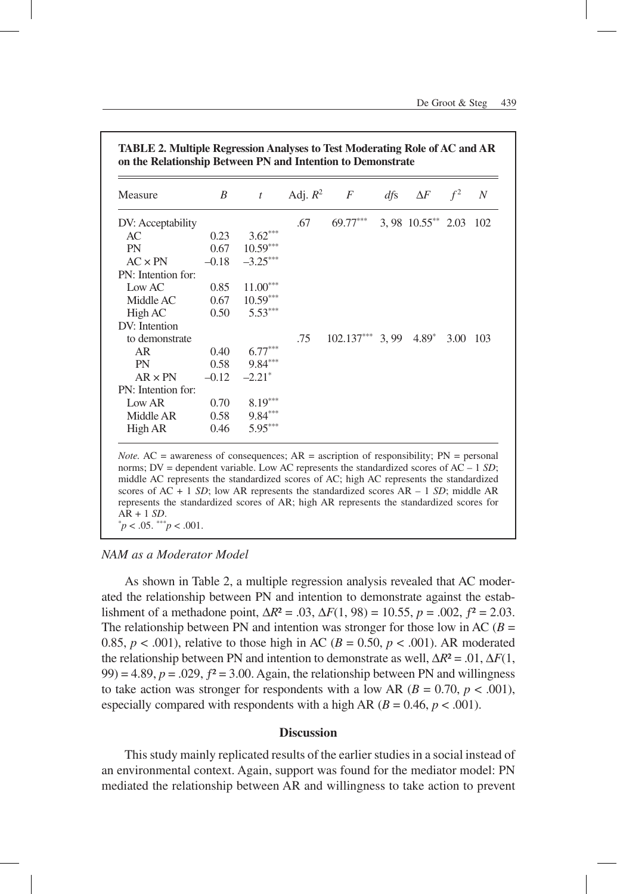| Measure            | B       | $\boldsymbol{t}$     | Adj. $R^2$ | F                  | dfs | $\Delta F$                      | $f^2$    | N   |
|--------------------|---------|----------------------|------------|--------------------|-----|---------------------------------|----------|-----|
| DV: Acceptability  |         |                      | .67        | $69.77***$         |     | $3,98$ 10.55 <sup>**</sup> 2.03 |          | 102 |
| AC                 | 0.23    | $3.62***$            |            |                    |     |                                 |          |     |
| PN                 | 0.67    | $10.59***$           |            |                    |     |                                 |          |     |
| $AC \times PN$     | $-0.18$ | $-3.25***$           |            |                    |     |                                 |          |     |
| PN: Intention for: |         |                      |            |                    |     |                                 |          |     |
| Low AC             | 0.85    | $11.00***$           |            |                    |     |                                 |          |     |
| Middle AC          | 0.67    | $10.59***$           |            |                    |     |                                 |          |     |
| High AC            | 0.50    | $5.53***$            |            |                    |     |                                 |          |     |
| DV: Intention      |         |                      |            |                    |     |                                 |          |     |
| to demonstrate     |         |                      | .75        | $102.137***$ 3, 99 |     | $4.89^*$                        | 3.00 103 |     |
| AR                 | 0.40    | $6.77***$            |            |                    |     |                                 |          |     |
| <b>PN</b>          | 0.58    | $9.84***$            |            |                    |     |                                 |          |     |
| $AR \times PN$     | $-0.12$ | $-2.21$ <sup>*</sup> |            |                    |     |                                 |          |     |
| PN: Intention for: |         |                      |            |                    |     |                                 |          |     |
| Low AR             | 0.70    | $8.19***$            |            |                    |     |                                 |          |     |
| Middle AR          | 0.58    | $9.84***$            |            |                    |     |                                 |          |     |
| High AR            | 0.46    | $5.95***$            |            |                    |     |                                 |          |     |

scores of AC + 1 *SD*; low AR represents the standardized scores AR – 1 *SD*; middle AR represents the standardized scores of AR; high AR represents the standardized scores for AR + 1 *SD*.  $p < .05.$  \*\*\**p* < .001.

# *NAM as a Moderator Model*

As shown in Table 2, a multiple regression analysis revealed that AC moderated the relationship between PN and intention to demonstrate against the establishment of a methadone point,  $\Delta R^2 = .03$ ,  $\Delta F(1, 98) = 10.55$ ,  $p = .002$ ,  $f^2 = 2.03$ . The relationship between PN and intention was stronger for those low in AC ( $B =$ 0.85,  $p < .001$ ), relative to those high in AC ( $B = 0.50$ ,  $p < .001$ ). AR moderated the relationship between PN and intention to demonstrate as well, ∆*R*² = .01, ∆*F*(1,  $(99) = 4.89$ ,  $p = .029$ ,  $f^2 = 3.00$ . Again, the relationship between PN and willingness to take action was stronger for respondents with a low AR ( $B = 0.70$ ,  $p < .001$ ), especially compared with respondents with a high AR ( $B = 0.46$ ,  $p < .001$ ).

## **Discussion**

This study mainly replicated results of the earlier studies in a social instead of an environmental context. Again, support was found for the mediator model: PN mediated the relationship between AR and willingness to take action to prevent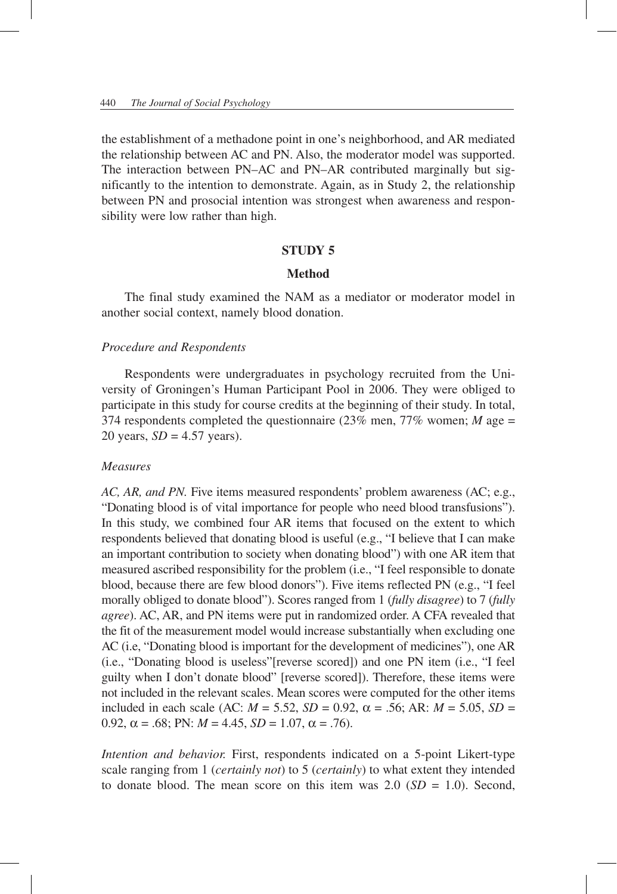the establishment of a methadone point in one's neighborhood, and AR mediated the relationship between AC and PN. Also, the moderator model was supported. The interaction between PN–AC and PN–AR contributed marginally but significantly to the intention to demonstrate. Again, as in Study 2, the relationship between PN and prosocial intention was strongest when awareness and responsibility were low rather than high.

## **STUDY 5**

# **Method**

The final study examined the NAM as a mediator or moderator model in another social context, namely blood donation.

#### *Procedure and Respondents*

Respondents were undergraduates in psychology recruited from the University of Groningen's Human Participant Pool in 2006. They were obliged to participate in this study for course credits at the beginning of their study. In total, 374 respondents completed the questionnaire (23% men, 77% women; *M* age = 20 years, *SD* = 4.57 years).

## *Measures*

*AC, AR, and PN.* Five items measured respondents' problem awareness (AC; e.g., "Donating blood is of vital importance for people who need blood transfusions"). In this study, we combined four AR items that focused on the extent to which respondents believed that donating blood is useful (e.g., "I believe that I can make an important contribution to society when donating blood") with one AR item that measured ascribed responsibility for the problem (i.e., "I feel responsible to donate blood, because there are few blood donors"). Five items reflected PN (e.g., "I feel morally obliged to donate blood"). Scores ranged from 1 (*fully disagree*) to 7 (*fully agree*). AC, AR, and PN items were put in randomized order. A CFA revealed that the fit of the measurement model would increase substantially when excluding one AC (i.e, "Donating blood is important for the development of medicines"), one AR (i.e., "Donating blood is useless"[reverse scored]) and one PN item (i.e., "I feel guilty when I don't donate blood" [reverse scored]). Therefore, these items were not included in the relevant scales. Mean scores were computed for the other items included in each scale (AC:  $M = 5.52$ ,  $SD = 0.92$ ,  $\alpha = .56$ ; AR:  $M = 5.05$ ,  $SD =$ 0.92,  $\alpha$  = .68; PN:  $M = 4.45$ ,  $SD = 1.07$ ,  $\alpha$  = .76).

*Intention and behavior.* First, respondents indicated on a 5-point Likert-type scale ranging from 1 (*certainly not*) to 5 (*certainly*) to what extent they intended to donate blood. The mean score on this item was  $2.0$  ( $SD = 1.0$ ). Second,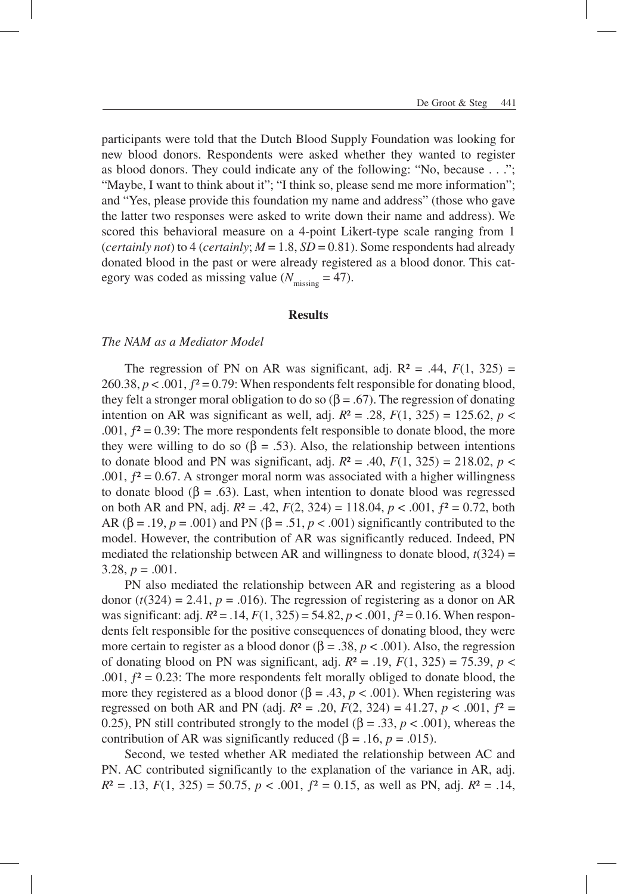participants were told that the Dutch Blood Supply Foundation was looking for new blood donors. Respondents were asked whether they wanted to register as blood donors. They could indicate any of the following: "No, because . . ."; "Maybe, I want to think about it"; "I think so, please send me more information"; and "Yes, please provide this foundation my name and address" (those who gave the latter two responses were asked to write down their name and address). We scored this behavioral measure on a 4-point Likert-type scale ranging from 1 (*certainly not*) to 4 (*certainly*; *M* = 1.8, *SD* = 0.81). Some respondents had already donated blood in the past or were already registered as a blood donor. This category was coded as missing value ( $N_{\text{missing}} = 47$ ).

#### **Results**

#### *The NAM as a Mediator Model*

The regression of PN on AR was significant, adj.  $R^2 = .44, F(1, 325) =$ 260.38,  $p < .001$ ,  $f^2 = 0.79$ : When respondents felt responsible for donating blood, they felt a stronger moral obligation to do so  $(\beta = .67)$ . The regression of donating intention on AR was significant as well, adj.  $R^2 = .28$ ,  $F(1, 325) = 125.62$ ,  $p <$ .001,  $f^2 = 0.39$ : The more respondents felt responsible to donate blood, the more they were willing to do so ( $\beta = .53$ ). Also, the relationship between intentions to donate blood and PN was significant, adj.  $R^2 = .40, F(1, 325) = 218.02, p <$ .001,  $f^2 = 0.67$ . A stronger moral norm was associated with a higher willingness to donate blood ( $\beta = .63$ ). Last, when intention to donate blood was regressed on both AR and PN, adj. *R*² = .42, *F*(2, 324) = 118.04, *p* < .001, ƒ² = 0.72, both AR ( $\beta$  = .19, *p* = .001) and PN ( $\beta$  = .51, *p* < .001) significantly contributed to the model. However, the contribution of AR was significantly reduced. Indeed, PN mediated the relationship between AR and willingness to donate blood,  $t(324)$  = 3.28,  $p = .001$ .

PN also mediated the relationship between AR and registering as a blood donor  $(t(324) = 2.41, p = .016)$ . The regression of registering as a donor on AR was significant: adj.  $R^2 = .14$ ,  $F(1, 325) = 54.82$ ,  $p < .001$ ,  $f^2 = 0.16$ . When respondents felt responsible for the positive consequences of donating blood, they were more certain to register as a blood donor ( $\beta = .38$ ,  $p < .001$ ). Also, the regression of donating blood on PN was significant, adj.  $R^2 = .19$ ,  $F(1, 325) = 75.39$ ,  $p <$ .001,  $f^2 = 0.23$ : The more respondents felt morally obliged to donate blood, the more they registered as a blood donor ( $\beta$  = .43,  $p < .001$ ). When registering was regressed on both AR and PN (adj.  $R^2 = .20$ ,  $F(2, 324) = 41.27$ ,  $p < .001$ ,  $f^2 =$ 0.25), PN still contributed strongly to the model ( $\beta$  = .33, *p* < .001), whereas the contribution of AR was significantly reduced (β = .16, *p* = .015).

Second, we tested whether AR mediated the relationship between AC and PN. AC contributed significantly to the explanation of the variance in AR, adj.  $R^2 = .13$ ,  $F(1, 325) = 50.75$ ,  $p < .001$ ,  $f^2 = 0.15$ , as well as PN, adj.  $R^2 = .14$ ,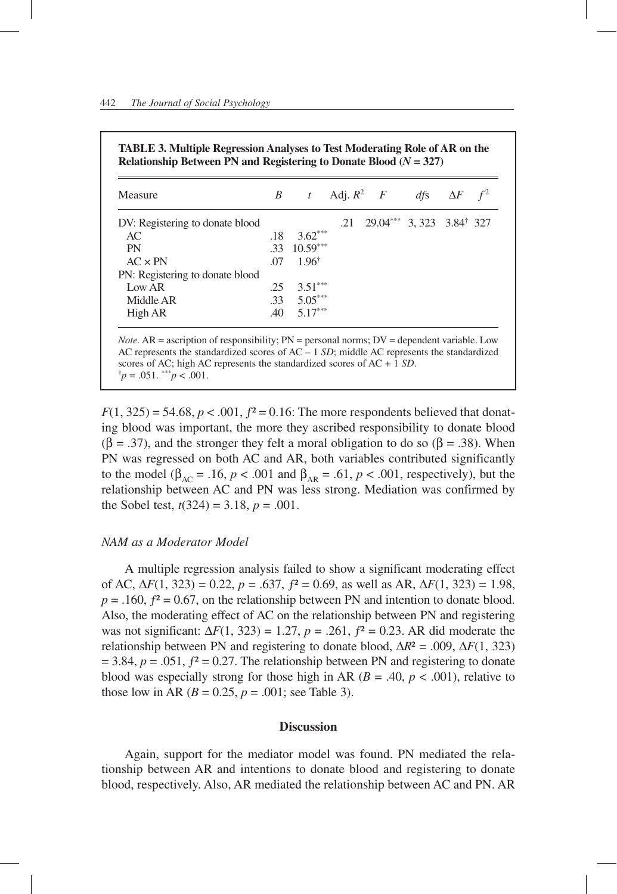Low AR  $.25 \t3.51***$ Middle AR .33 5.05\*\*\* High AR  $.40 \t 5.17***$ 

**TABLE 3. Multiple Regression Analyses to Test Moderating Role of AR on the Relationship Between PN and Registering to Donate Blood (***N* **= 327)** Measure *B t* Adj.  $R^2$  *F dfs*  $\Delta F$   $f^2$ DV: Registering to donate blood .21 29.04\*\*\* 3, 323 3.84<sup>†</sup> 327 AC .18 3.62\*\*\* PN .33 10.59\*\*\*  $AC \times PN$  .07 1.96<sup>†</sup> PN: Registering to donate blood

*Note.* AR = ascription of responsibility; PN = personal norms; DV = dependent variable. Low AC represents the standardized scores of AC – 1 *SD*; middle AC represents the standardized scores of AC; high AC represents the standardized scores of AC + 1 *SD*.

 $\phi p = .051$ . \*\*\**p* < .001.

 $F(1, 325) = 54.68$ ,  $p < .001$ ,  $f^2 = 0.16$ : The more respondents believed that donating blood was important, the more they ascribed responsibility to donate blood ( $\beta$  = .37), and the stronger they felt a moral obligation to do so ( $\beta$  = .38). When PN was regressed on both AC and AR, both variables contributed significantly to the model ( $\beta_{AC}$  = .16, *p* < .001 and  $\beta_{AR}$  = .61, *p* < .001, respectively), but the relationship between AC and PN was less strong. Mediation was confirmed by the Sobel test,  $t(324) = 3.18$ ,  $p = .001$ .

## *NAM as a Moderator Model*

A multiple regression analysis failed to show a significant moderating effect of AC, ∆*F*(1, 323) = 0.22, *p* = .637, ƒ² = 0.69, as well as AR, ∆*F*(1, 323) = 1.98,  $p = .160$ ,  $f^2 = 0.67$ , on the relationship between PN and intention to donate blood. Also, the moderating effect of AC on the relationship between PN and registering was not significant: ∆*F*(1, 323) = 1.27, *p* = .261, ƒ² = 0.23. AR did moderate the relationship between PN and registering to donate blood, ∆*R*² = .009, ∆*F*(1, 323)  $= 3.84$ ,  $p = .051$ ,  $f^2 = 0.27$ . The relationship between PN and registering to donate blood was especially strong for those high in AR ( $B = .40$ ,  $p < .001$ ), relative to those low in AR ( $B = 0.25$ ,  $p = .001$ ; see Table 3).

#### **Discussion**

Again, support for the mediator model was found. PN mediated the relationship between AR and intentions to donate blood and registering to donate blood, respectively. Also, AR mediated the relationship between AC and PN. AR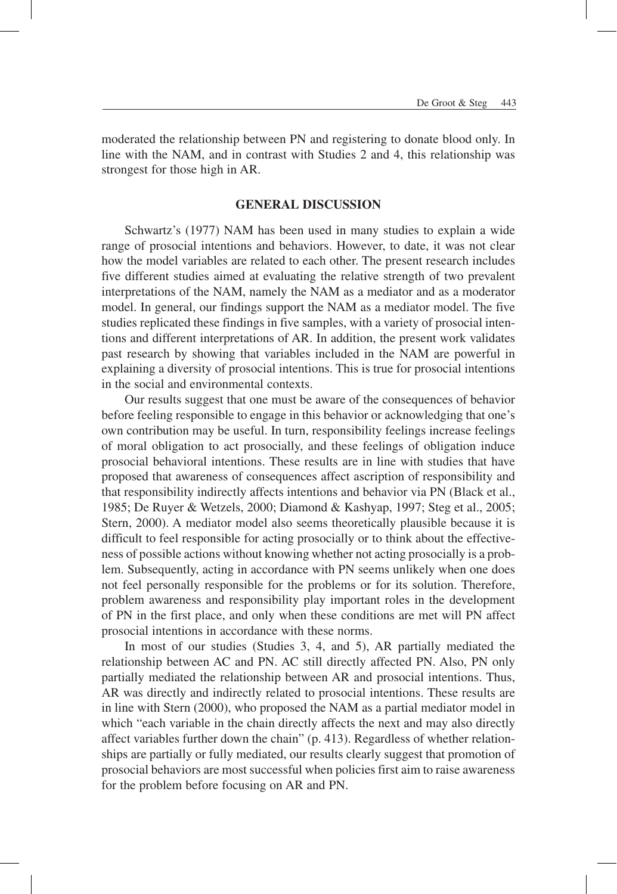moderated the relationship between PN and registering to donate blood only. In line with the NAM, and in contrast with Studies 2 and 4, this relationship was strongest for those high in AR.

## **GENERAL DISCUSSION**

Schwartz's (1977) NAM has been used in many studies to explain a wide range of prosocial intentions and behaviors. However, to date, it was not clear how the model variables are related to each other. The present research includes five different studies aimed at evaluating the relative strength of two prevalent interpretations of the NAM, namely the NAM as a mediator and as a moderator model. In general, our findings support the NAM as a mediator model. The five studies replicated these findings in five samples, with a variety of prosocial intentions and different interpretations of AR. In addition, the present work validates past research by showing that variables included in the NAM are powerful in explaining a diversity of prosocial intentions. This is true for prosocial intentions in the social and environmental contexts.

Our results suggest that one must be aware of the consequences of behavior before feeling responsible to engage in this behavior or acknowledging that one's own contribution may be useful. In turn, responsibility feelings increase feelings of moral obligation to act prosocially, and these feelings of obligation induce prosocial behavioral intentions. These results are in line with studies that have proposed that awareness of consequences affect ascription of responsibility and that responsibility indirectly affects intentions and behavior via PN (Black et al., 1985; De Ruyer & Wetzels, 2000; Diamond & Kashyap, 1997; Steg et al., 2005; Stern, 2000). A mediator model also seems theoretically plausible because it is difficult to feel responsible for acting prosocially or to think about the effectiveness of possible actions without knowing whether not acting prosocially is a problem. Subsequently, acting in accordance with PN seems unlikely when one does not feel personally responsible for the problems or for its solution. Therefore, problem awareness and responsibility play important roles in the development of PN in the first place, and only when these conditions are met will PN affect prosocial intentions in accordance with these norms.

In most of our studies (Studies 3, 4, and 5), AR partially mediated the relationship between AC and PN. AC still directly affected PN. Also, PN only partially mediated the relationship between AR and prosocial intentions. Thus, AR was directly and indirectly related to prosocial intentions. These results are in line with Stern (2000), who proposed the NAM as a partial mediator model in which "each variable in the chain directly affects the next and may also directly affect variables further down the chain" (p. 413). Regardless of whether relationships are partially or fully mediated, our results clearly suggest that promotion of prosocial behaviors are most successful when policies first aim to raise awareness for the problem before focusing on AR and PN.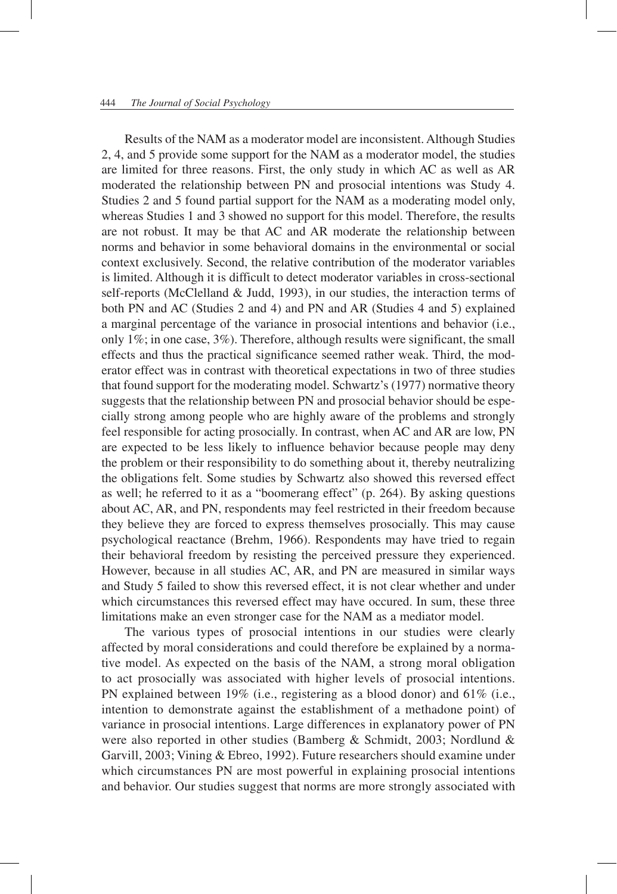Results of the NAM as a moderator model are inconsistent. Although Studies 2, 4, and 5 provide some support for the NAM as a moderator model, the studies are limited for three reasons. First, the only study in which AC as well as AR moderated the relationship between PN and prosocial intentions was Study 4. Studies 2 and 5 found partial support for the NAM as a moderating model only, whereas Studies 1 and 3 showed no support for this model. Therefore, the results are not robust. It may be that AC and AR moderate the relationship between norms and behavior in some behavioral domains in the environmental or social context exclusively. Second, the relative contribution of the moderator variables is limited. Although it is difficult to detect moderator variables in cross-sectional self-reports (McClelland & Judd, 1993), in our studies, the interaction terms of both PN and AC (Studies 2 and 4) and PN and AR (Studies 4 and 5) explained a marginal percentage of the variance in prosocial intentions and behavior (i.e., only  $1\%$ ; in one case,  $3\%$ ). Therefore, although results were significant, the small effects and thus the practical significance seemed rather weak. Third, the moderator effect was in contrast with theoretical expectations in two of three studies that found support for the moderating model. Schwartz's (1977) normative theory suggests that the relationship between PN and prosocial behavior should be especially strong among people who are highly aware of the problems and strongly feel responsible for acting prosocially. In contrast, when AC and AR are low, PN are expected to be less likely to influence behavior because people may deny the problem or their responsibility to do something about it, thereby neutralizing the obligations felt. Some studies by Schwartz also showed this reversed effect as well; he referred to it as a "boomerang effect" (p. 264). By asking questions about AC, AR, and PN, respondents may feel restricted in their freedom because they believe they are forced to express themselves prosocially. This may cause psychological reactance (Brehm, 1966). Respondents may have tried to regain their behavioral freedom by resisting the perceived pressure they experienced. However, because in all studies AC, AR, and PN are measured in similar ways and Study 5 failed to show this reversed effect, it is not clear whether and under which circumstances this reversed effect may have occured. In sum, these three limitations make an even stronger case for the NAM as a mediator model.

The various types of prosocial intentions in our studies were clearly affected by moral considerations and could therefore be explained by a normative model. As expected on the basis of the NAM, a strong moral obligation to act prosocially was associated with higher levels of prosocial intentions. PN explained between 19% (i.e., registering as a blood donor) and 61% (i.e., intention to demonstrate against the establishment of a methadone point) of variance in prosocial intentions. Large differences in explanatory power of PN were also reported in other studies (Bamberg & Schmidt, 2003; Nordlund & Garvill, 2003; Vining & Ebreo, 1992). Future researchers should examine under which circumstances PN are most powerful in explaining prosocial intentions and behavior. Our studies suggest that norms are more strongly associated with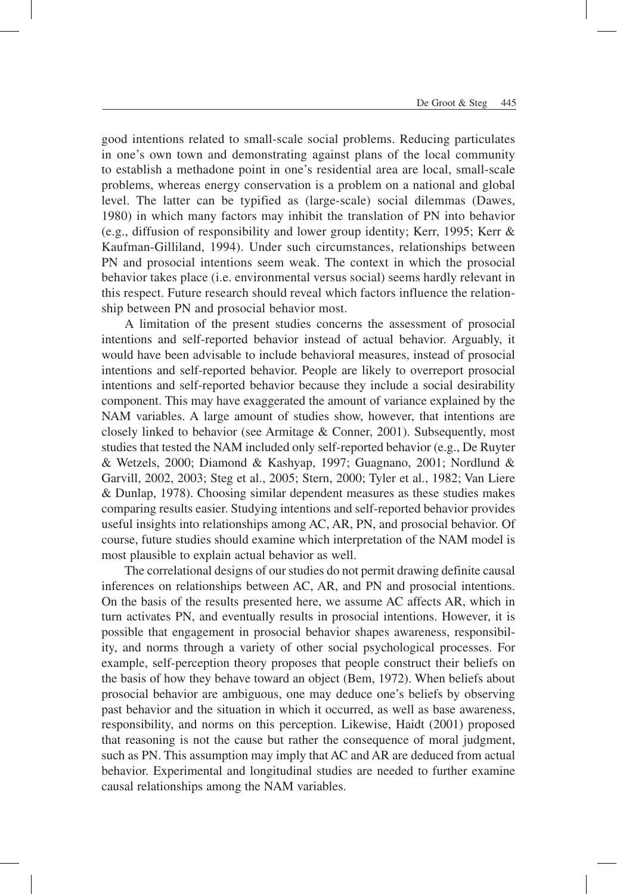good intentions related to small-scale social problems. Reducing particulates in one's own town and demonstrating against plans of the local community to establish a methadone point in one's residential area are local, small-scale problems, whereas energy conservation is a problem on a national and global level. The latter can be typified as (large-scale) social dilemmas (Dawes, 1980) in which many factors may inhibit the translation of PN into behavior (e.g., diffusion of responsibility and lower group identity; Kerr, 1995; Kerr & Kaufman-Gilliland, 1994). Under such circumstances, relationships between PN and prosocial intentions seem weak. The context in which the prosocial behavior takes place (i.e. environmental versus social) seems hardly relevant in this respect. Future research should reveal which factors influence the relationship between PN and prosocial behavior most.

A limitation of the present studies concerns the assessment of prosocial intentions and self-reported behavior instead of actual behavior. Arguably, it would have been advisable to include behavioral measures, instead of prosocial intentions and self-reported behavior. People are likely to overreport prosocial intentions and self-reported behavior because they include a social desirability component. This may have exaggerated the amount of variance explained by the NAM variables. A large amount of studies show, however, that intentions are closely linked to behavior (see Armitage & Conner, 2001). Subsequently, most studies that tested the NAM included only self-reported behavior (e.g., De Ruyter & Wetzels, 2000; Diamond & Kashyap, 1997; Guagnano, 2001; Nordlund & Garvill, 2002, 2003; Steg et al., 2005; Stern, 2000; Tyler et al., 1982; Van Liere & Dunlap, 1978). Choosing similar dependent measures as these studies makes comparing results easier. Studying intentions and self-reported behavior provides useful insights into relationships among AC, AR, PN, and prosocial behavior. Of course, future studies should examine which interpretation of the NAM model is most plausible to explain actual behavior as well.

The correlational designs of our studies do not permit drawing definite causal inferences on relationships between AC, AR, and PN and prosocial intentions. On the basis of the results presented here, we assume AC affects AR, which in turn activates PN, and eventually results in prosocial intentions. However, it is possible that engagement in prosocial behavior shapes awareness, responsibility, and norms through a variety of other social psychological processes. For example, self-perception theory proposes that people construct their beliefs on the basis of how they behave toward an object (Bem, 1972). When beliefs about prosocial behavior are ambiguous, one may deduce one's beliefs by observing past behavior and the situation in which it occurred, as well as base awareness, responsibility, and norms on this perception. Likewise, Haidt (2001) proposed that reasoning is not the cause but rather the consequence of moral judgment, such as PN. This assumption may imply that AC and AR are deduced from actual behavior. Experimental and longitudinal studies are needed to further examine causal relationships among the NAM variables.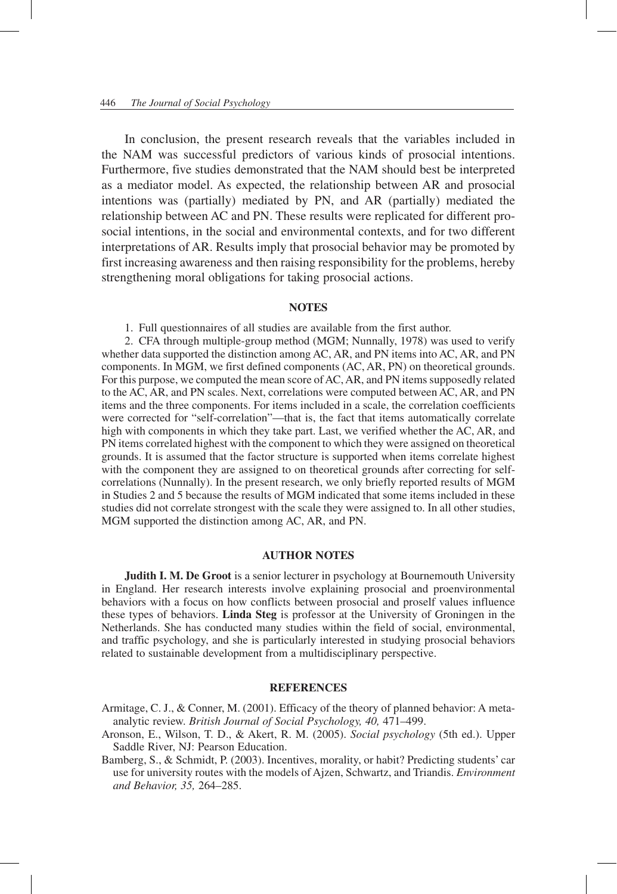In conclusion, the present research reveals that the variables included in the NAM was successful predictors of various kinds of prosocial intentions. Furthermore, five studies demonstrated that the NAM should best be interpreted as a mediator model. As expected, the relationship between AR and prosocial intentions was (partially) mediated by PN, and AR (partially) mediated the relationship between AC and PN. These results were replicated for different prosocial intentions, in the social and environmental contexts, and for two different interpretations of AR. Results imply that prosocial behavior may be promoted by first increasing awareness and then raising responsibility for the problems, hereby strengthening moral obligations for taking prosocial actions.

# **NOTES**

1. Full questionnaires of all studies are available from the first author.

2. CFA through multiple-group method (MGM; Nunnally, 1978) was used to verify whether data supported the distinction among AC, AR, and PN items into AC, AR, and PN components. In MGM, we first defined components (AC, AR, PN) on theoretical grounds. For this purpose, we computed the mean score of AC, AR, and PN items supposedly related to the AC, AR, and PN scales. Next, correlations were computed between AC, AR, and PN items and the three components. For items included in a scale, the correlation coefficients were corrected for "self-correlation"—that is, the fact that items automatically correlate high with components in which they take part. Last, we verified whether the AC, AR, and PN items correlated highest with the component to which they were assigned on theoretical grounds. It is assumed that the factor structure is supported when items correlate highest with the component they are assigned to on theoretical grounds after correcting for selfcorrelations (Nunnally). In the present research, we only briefly reported results of MGM in Studies 2 and 5 because the results of MGM indicated that some items included in these studies did not correlate strongest with the scale they were assigned to. In all other studies, MGM supported the distinction among AC, AR, and PN.

#### **AUTHOR NOTES**

**Judith I. M. De Groot** is a senior lecturer in psychology at Bournemouth University in England. Her research interests involve explaining prosocial and proenvironmental behaviors with a focus on how conflicts between prosocial and proself values influence these types of behaviors. **Linda Steg** is professor at the University of Groningen in the Netherlands. She has conducted many studies within the field of social, environmental, and traffic psychology, and she is particularly interested in studying prosocial behaviors related to sustainable development from a multidisciplinary perspective.

#### **REFERENCES**

Armitage, C. J., & Conner, M. (2001). Efficacy of the theory of planned behavior: A metaanalytic review. *British Journal of Social Psychology, 40,* 471–499.

- Aronson, E., Wilson, T. D., & Akert, R. M. (2005). *Social psychology* (5th ed.). Upper Saddle River, NJ: Pearson Education.
- Bamberg, S., & Schmidt, P. (2003). Incentives, morality, or habit? Predicting students' car use for university routes with the models of Ajzen, Schwartz, and Triandis. *Environment and Behavior, 35,* 264–285.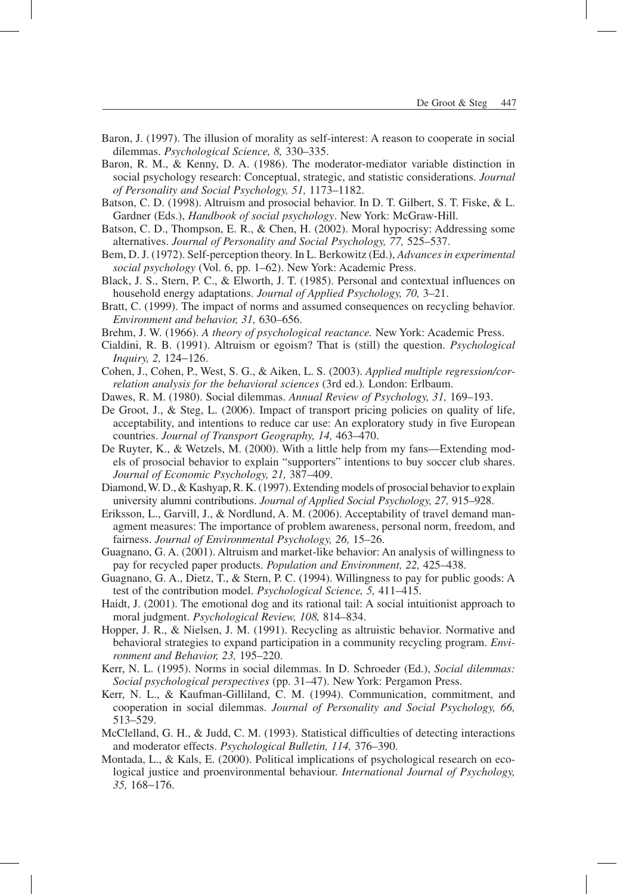- Baron, J. (1997). The illusion of morality as self-interest: A reason to cooperate in social dilemmas. *Psychological Science, 8,* 330–335.
- Baron, R. M., & Kenny, D. A. (1986). The moderator-mediator variable distinction in social psychology research: Conceptual, strategic, and statistic considerations. *Journal of Personality and Social Psychology, 51,* 1173–1182.
- Batson, C. D. (1998). Altruism and prosocial behavior. In D. T. Gilbert, S. T. Fiske, & L. Gardner (Eds.), *Handbook of social psychology*. New York: McGraw-Hill.
- Batson, C. D., Thompson, E. R., & Chen, H. (2002). Moral hypocrisy: Addressing some alternatives. *Journal of Personality and Social Psychology, 77,* 525–537.
- Bem, D. J. (1972). Self-perception theory. In L. Berkowitz (Ed.), *Advances in experimental social psychology* (Vol. 6, pp. 1–62). New York: Academic Press.
- Black, J. S., Stern, P. C., & Elworth, J. T. (1985). Personal and contextual influences on household energy adaptations. *Journal of Applied Psychology, 70,* 3–21.
- Bratt, C. (1999). The impact of norms and assumed consequences on recycling behavior. *Environment and behavior, 31,* 630–656.
- Brehm, J. W. (1966). *A theory of psychological reactance.* New York: Academic Press.
- Cialdini, R. B. (1991). Altruism or egoism? That is (still) the question. *Psychological Inquiry, 2,* 124−126.
- Cohen, J., Cohen, P., West, S. G., & Aiken, L. S. (2003). *Applied multiple regression/correlation analysis for the behavioral sciences* (3rd ed.)*.* London: Erlbaum.
- Dawes, R. M. (1980). Social dilemmas. *Annual Review of Psychology, 31,* 169–193.
- De Groot, J., & Steg, L. (2006). Impact of transport pricing policies on quality of life, acceptability, and intentions to reduce car use: An exploratory study in five European countries. *Journal of Transport Geography, 14,* 463–470.
- De Ruyter, K., & Wetzels, M. (2000). With a little help from my fans—Extending models of prosocial behavior to explain "supporters" intentions to buy soccer club shares. *Journal of Economic Psychology, 21,* 387–409.
- Diamond, W. D., & Kashyap, R. K. (1997). Extending models of prosocial behavior to explain university alumni contributions. *Journal of Applied Social Psychology, 27,* 915–928.
- Eriksson, L., Garvill, J., & Nordlund, A. M. (2006). Acceptability of travel demand managment measures: The importance of problem awareness, personal norm, freedom, and fairness. *Journal of Environmental Psychology, 26,* 15–26.
- Guagnano, G. A. (2001). Altruism and market-like behavior: An analysis of willingness to pay for recycled paper products. *Population and Environment, 22,* 425–438.
- Guagnano, G. A., Dietz, T., & Stern, P. C. (1994). Willingness to pay for public goods: A test of the contribution model. *Psychological Science, 5,* 411–415.
- Haidt, J. (2001). The emotional dog and its rational tail: A social intuitionist approach to moral judgment. *Psychological Review, 108,* 814–834.
- Hopper, J. R., & Nielsen, J. M. (1991). Recycling as altruistic behavior. Normative and behavioral strategies to expand participation in a community recycling program. *Environment and Behavior, 23,* 195–220.
- Kerr, N. L. (1995). Norms in social dilemmas. In D. Schroeder (Ed.), *Social dilemmas: Social psychological perspectives* (pp. 31–47). New York: Pergamon Press.
- Kerr, N. L., & Kaufman-Gilliland, C. M. (1994). Communication, commitment, and cooperation in social dilemmas. *Journal of Personality and Social Psychology, 66,*  513–529.
- McClelland, G. H., & Judd, C. M. (1993). Statistical difficulties of detecting interactions and moderator effects. *Psychological Bulletin, 114,* 376–390.
- Montada, L., & Kals, E. (2000). Political implications of psychological research on ecological justice and proenvironmental behaviour. *International Journal of Psychology, 35,* 168−176.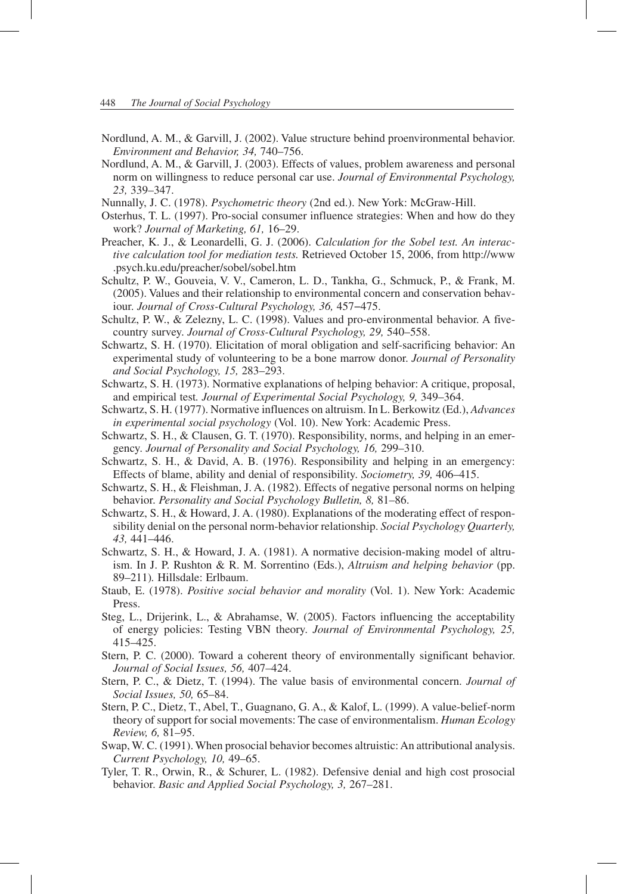- Nordlund, A. M., & Garvill, J. (2002). Value structure behind proenvironmental behavior. *Environment and Behavior, 34,* 740–756.
- Nordlund, A. M., & Garvill, J. (2003). Effects of values, problem awareness and personal norm on willingness to reduce personal car use. *Journal of Environmental Psychology, 23,* 339–347.
- Nunnally, J. C. (1978). *Psychometric theory* (2nd ed.). New York: McGraw-Hill.
- Osterhus, T. L. (1997). Pro-social consumer influence strategies: When and how do they work? *Journal of Marketing, 61,* 16–29.
- Preacher, K. J., & Leonardelli, G. J. (2006). *Calculation for the Sobel test. An interactive calculation tool for mediation tests.* Retrieved October 15, 2006, from http://www .psych.ku.edu/preacher/sobel/sobel.htm
- Schultz, P. W., Gouveia, V. V., Cameron, L. D., Tankha, G., Schmuck, P., & Frank, M. (2005). Values and their relationship to environmental concern and conservation behaviour. *Journal of Cross-Cultural Psychology, 36,* 457−475.
- Schultz, P. W., & Zelezny, L. C. (1998). Values and pro-environmental behavior. A fivecountry survey. *Journal of Cross-Cultural Psychology, 29,* 540–558.
- Schwartz, S. H. (1970). Elicitation of moral obligation and self-sacrificing behavior: An experimental study of volunteering to be a bone marrow donor. *Journal of Personality and Social Psychology, 15,* 283–293.
- Schwartz, S. H. (1973). Normative explanations of helping behavior: A critique, proposal, and empirical test*. Journal of Experimental Social Psychology, 9,* 349–364.
- Schwartz, S. H. (1977). Normative influences on altruism. In L. Berkowitz (Ed.), *Advances in experimental social psychology* (Vol. 10). New York: Academic Press.
- Schwartz, S. H., & Clausen, G. T. (1970). Responsibility, norms, and helping in an emergency. *Journal of Personality and Social Psychology, 16,* 299–310.
- Schwartz, S. H., & David, A. B. (1976). Responsibility and helping in an emergency: Effects of blame, ability and denial of responsibility. *Sociometry, 39,* 406–415.
- Schwartz, S. H., & Fleishman, J. A. (1982). Effects of negative personal norms on helping behavior. *Personality and Social Psychology Bulletin, 8,* 81–86.
- Schwartz, S. H., & Howard, J. A. (1980). Explanations of the moderating effect of responsibility denial on the personal norm-behavior relationship. *Social Psychology Quarterly, 43,* 441–446.
- Schwartz, S. H., & Howard, J. A. (1981). A normative decision-making model of altruism. In J. P. Rushton & R. M. Sorrentino (Eds.), *Altruism and helping behavior* (pp. 89–211)*.* Hillsdale: Erlbaum.
- Staub, E. (1978). *Positive social behavior and morality* (Vol. 1). New York: Academic Press.
- Steg, L., Drijerink, L., & Abrahamse, W. (2005). Factors influencing the acceptability of energy policies: Testing VBN theory. *Journal of Environmental Psychology, 25,*  415–425.
- Stern, P. C. (2000). Toward a coherent theory of environmentally significant behavior. *Journal of Social Issues, 56,* 407–424.
- Stern, P. C., & Dietz, T. (1994). The value basis of environmental concern. *Journal of Social Issues, 50,* 65–84.
- Stern, P. C., Dietz, T., Abel, T., Guagnano, G. A., & Kalof, L. (1999). A value-belief-norm theory of support for social movements: The case of environmentalism. *Human Ecology Review, 6,* 81–95.
- Swap, W. C. (1991). When prosocial behavior becomes altruistic: An attributional analysis. *Current Psychology, 10,* 49–65.
- Tyler, T. R., Orwin, R., & Schurer, L. (1982). Defensive denial and high cost prosocial behavior. *Basic and Applied Social Psychology, 3,* 267–281.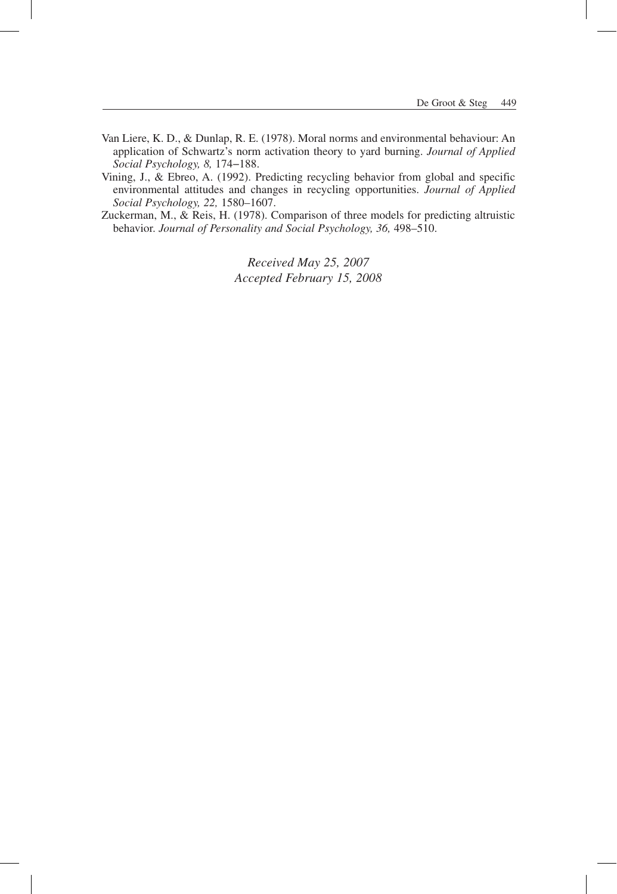- Van Liere, K. D., & Dunlap, R. E. (1978). Moral norms and environmental behaviour: An application of Schwartz's norm activation theory to yard burning. *Journal of Applied Social Psychology, 8,* 174−188.
- Vining, J., & Ebreo, A. (1992). Predicting recycling behavior from global and specific environmental attitudes and changes in recycling opportunities. *Journal of Applied Social Psychology, 22,* 1580–1607.

Zuckerman, M., & Reis, H. (1978). Comparison of three models for predicting altruistic behavior. *Journal of Personality and Social Psychology, 36,* 498–510.

> *Received May 25, 2007 Accepted February 15, 2008*